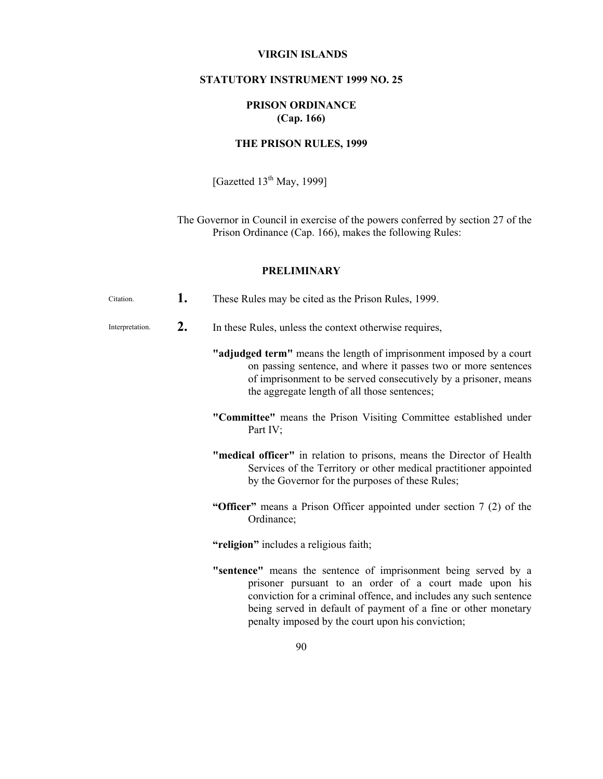### **VIRGIN ISLANDS**

## **STATUTORY INSTRUMENT 1999 NO. 25**

# **PRISON ORDINANCE (Cap. 166)**

# **THE PRISON RULES, 1999**

[Gazetted  $13^{th}$  May, 1999]

The Governor in Council in exercise of the powers conferred by section 27 of the Prison Ordinance (Cap. 166), makes the following Rules:

## **PRELIMINARY**

| Citation.       | 1. | These Rules may be cited as the Prison Rules, 1999.                                                                                                                                                                                                              |
|-----------------|----|------------------------------------------------------------------------------------------------------------------------------------------------------------------------------------------------------------------------------------------------------------------|
| Interpretation. | 2. | In these Rules, unless the context otherwise requires,                                                                                                                                                                                                           |
|                 |    | "adjudged term" means the length of imprisonment imposed by a court<br>on passing sentence, and where it passes two or more sentences<br>of imprisonment to be served consecutively by a prisoner, means<br>the aggregate length of all those sentences;         |
|                 |    | "Committee" means the Prison Visiting Committee established under<br>Part IV;                                                                                                                                                                                    |
|                 |    | "medical officer" in relation to prisons, means the Director of Health<br>Services of the Territory or other medical practitioner appointed<br>by the Governor for the purposes of these Rules;                                                                  |
|                 |    | "Officer" means a Prison Officer appointed under section 7 (2) of the<br>Ordinance;                                                                                                                                                                              |
|                 |    | "religion" includes a religious faith;                                                                                                                                                                                                                           |
|                 |    | "sentence" means the sentence of imprisonment being served by a<br>prisoner pursuant to an order of a court made upon his<br>conviction for a criminal offence, and includes any such sentence<br>being served in default of payment of a fine or other monetary |

penalty imposed by the court upon his conviction;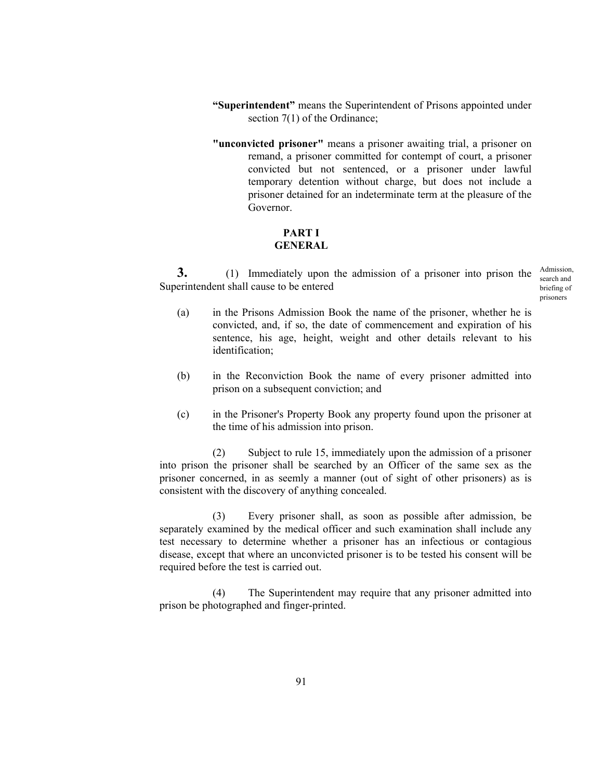- **"Superintendent"** means the Superintendent of Prisons appointed under section 7(1) of the Ordinance;
- **"unconvicted prisoner"** means a prisoner awaiting trial, a prisoner on remand, a prisoner committed for contempt of court, a prisoner convicted but not sentenced, or a prisoner under lawful temporary detention without charge, but does not include a prisoner detained for an indeterminate term at the pleasure of the Governor.

## **PART I GENERAL**

**3.** (1) Immediately upon the admission of a prisoner into prison the Admission, Superintendent shall cause to be entered

search and briefing of prisoners

- (a) in the Prisons Admission Book the name of the prisoner, whether he is convicted, and, if so, the date of commencement and expiration of his sentence, his age, height, weight and other details relevant to his identification;
- (b) in the Reconviction Book the name of every prisoner admitted into prison on a subsequent conviction; and
- (c) in the Prisoner's Property Book any property found upon the prisoner at the time of his admission into prison.

 (2) Subject to rule 15, immediately upon the admission of a prisoner into prison the prisoner shall be searched by an Officer of the same sex as the prisoner concerned, in as seemly a manner (out of sight of other prisoners) as is consistent with the discovery of anything concealed.

 (3) Every prisoner shall, as soon as possible after admission, be separately examined by the medical officer and such examination shall include any test necessary to determine whether a prisoner has an infectious or contagious disease, except that where an unconvicted prisoner is to be tested his consent will be required before the test is carried out.

 (4) The Superintendent may require that any prisoner admitted into prison be photographed and finger-printed.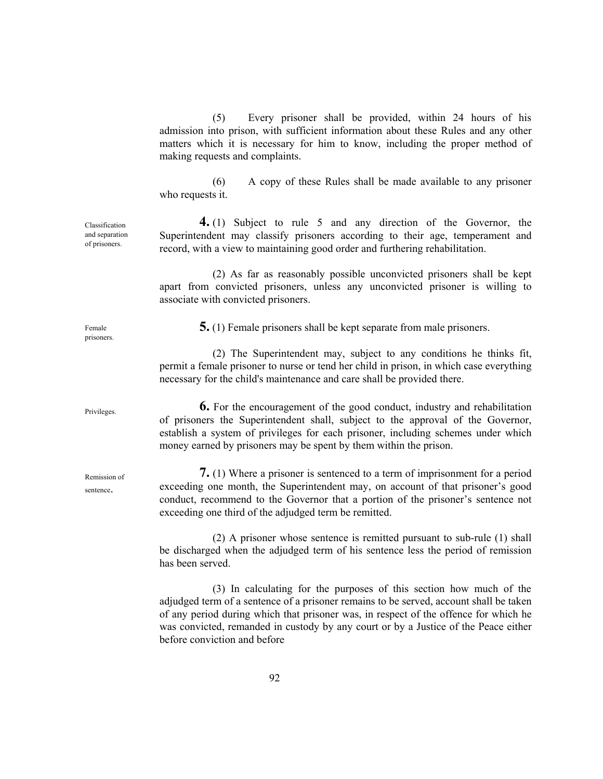(5) Every prisoner shall be provided, within 24 hours of his admission into prison, with sufficient information about these Rules and any other matters which it is necessary for him to know, including the proper method of making requests and complaints.

 (6) A copy of these Rules shall be made available to any prisoner who requests it.

 **4.** (1) Subject to rule 5 and any direction of the Governor, the Superintendent may classify prisoners according to their age, temperament and record, with a view to maintaining good order and furthering rehabilitation.

 (2) As far as reasonably possible unconvicted prisoners shall be kept apart from convicted prisoners, unless any unconvicted prisoner is willing to associate with convicted prisoners.

**5.** (1) Female prisoners shall be kept separate from male prisoners.

 (2) The Superintendent may, subject to any conditions he thinks fit, permit a female prisoner to nurse or tend her child in prison, in which case everything necessary for the child's maintenance and care shall be provided there.

 **6.** For the encouragement of the good conduct, industry and rehabilitation of prisoners the Superintendent shall, subject to the approval of the Governor, establish a system of privileges for each prisoner, including schemes under which money earned by prisoners may be spent by them within the prison.

**7.** (1) Where a prisoner is sentenced to a term of imprisonment for a period exceeding one month, the Superintendent may, on account of that prisoner's good conduct, recommend to the Governor that a portion of the prisoner's sentence not exceeding one third of the adjudged term be remitted.

 (2) A prisoner whose sentence is remitted pursuant to sub-rule (1) shall be discharged when the adjudged term of his sentence less the period of remission has been served.

 (3) In calculating for the purposes of this section how much of the adjudged term of a sentence of a prisoner remains to be served, account shall be taken of any period during which that prisoner was, in respect of the offence for which he was convicted, remanded in custody by any court or by a Justice of the Peace either before conviction and before

Classification and separation of prisoners.

Privileges.

Female prisoners.

Remission of sentence.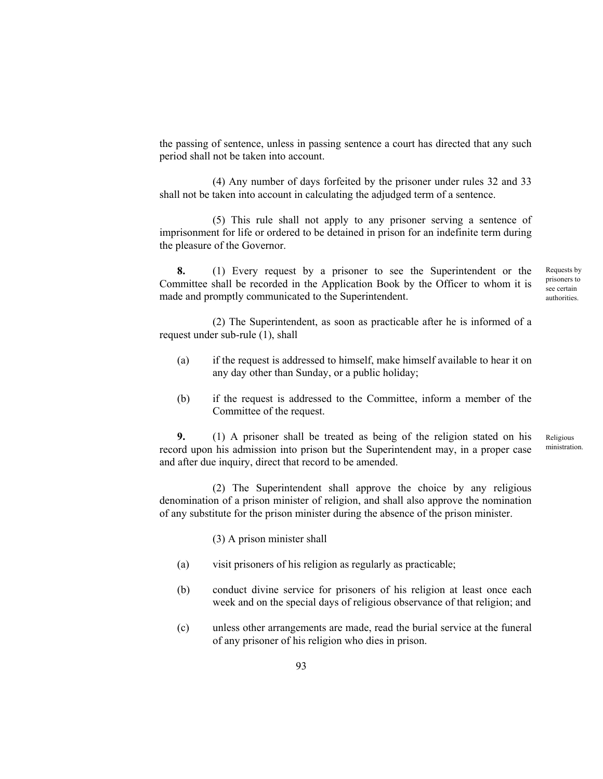the passing of sentence, unless in passing sentence a court has directed that any such period shall not be taken into account.

 (4) Any number of days forfeited by the prisoner under rules 32 and 33 shall not be taken into account in calculating the adjudged term of a sentence.

 (5) This rule shall not apply to any prisoner serving a sentence of imprisonment for life or ordered to be detained in prison for an indefinite term during the pleasure of the Governor.

 **8.** (1) Every request by a prisoner to see the Superintendent or the Committee shall be recorded in the Application Book by the Officer to whom it is made and promptly communicated to the Superintendent.

Requests by prisoners to see certain authorities.

 (2) The Superintendent, as soon as practicable after he is informed of a request under sub-rule (1), shall

- (a) if the request is addressed to himself, make himself available to hear it on any day other than Sunday, or a public holiday;
- (b) if the request is addressed to the Committee, inform a member of the Committee of the request.

 **9.** (1) A prisoner shall be treated as being of the religion stated on his record upon his admission into prison but the Superintendent may, in a proper case and after due inquiry, direct that record to be amended. Religious ministration.

 (2) The Superintendent shall approve the choice by any religious denomination of a prison minister of religion, and shall also approve the nomination of any substitute for the prison minister during the absence of the prison minister.

(3) A prison minister shall

- (a) visit prisoners of his religion as regularly as practicable;
- (b) conduct divine service for prisoners of his religion at least once each week and on the special days of religious observance of that religion; and
- (c) unless other arrangements are made, read the burial service at the funeral of any prisoner of his religion who dies in prison.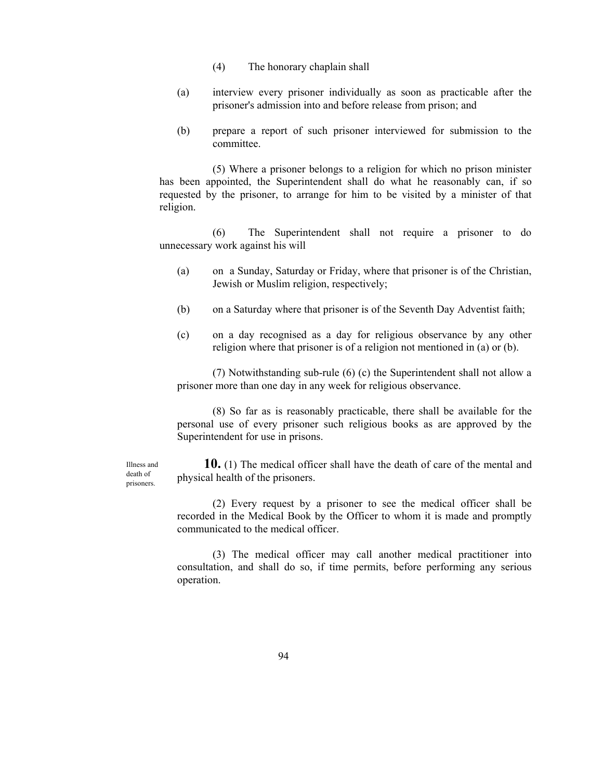- (4) The honorary chaplain shall
- (a) interview every prisoner individually as soon as practicable after the prisoner's admission into and before release from prison; and
- (b) prepare a report of such prisoner interviewed for submission to the committee.

 (5) Where a prisoner belongs to a religion for which no prison minister has been appointed, the Superintendent shall do what he reasonably can, if so requested by the prisoner, to arrange for him to be visited by a minister of that religion.

 (6) The Superintendent shall not require a prisoner to do unnecessary work against his will

- (a) on a Sunday, Saturday or Friday, where that prisoner is of the Christian, Jewish or Muslim religion, respectively;
- (b) on a Saturday where that prisoner is of the Seventh Day Adventist faith;
- (c) on a day recognised as a day for religious observance by any other religion where that prisoner is of a religion not mentioned in (a) or (b).

 (7) Notwithstanding sub-rule (6) (c) the Superintendent shall not allow a prisoner more than one day in any week for religious observance.

 (8) So far as is reasonably practicable, there shall be available for the personal use of every prisoner such religious books as are approved by the Superintendent for use in prisons.

Illness and death of prisoners.

 **10.** (1) The medical officer shall have the death of care of the mental and physical health of the prisoners.

 (2) Every request by a prisoner to see the medical officer shall be recorded in the Medical Book by the Officer to whom it is made and promptly communicated to the medical officer.

 (3) The medical officer may call another medical practitioner into consultation, and shall do so, if time permits, before performing any serious operation.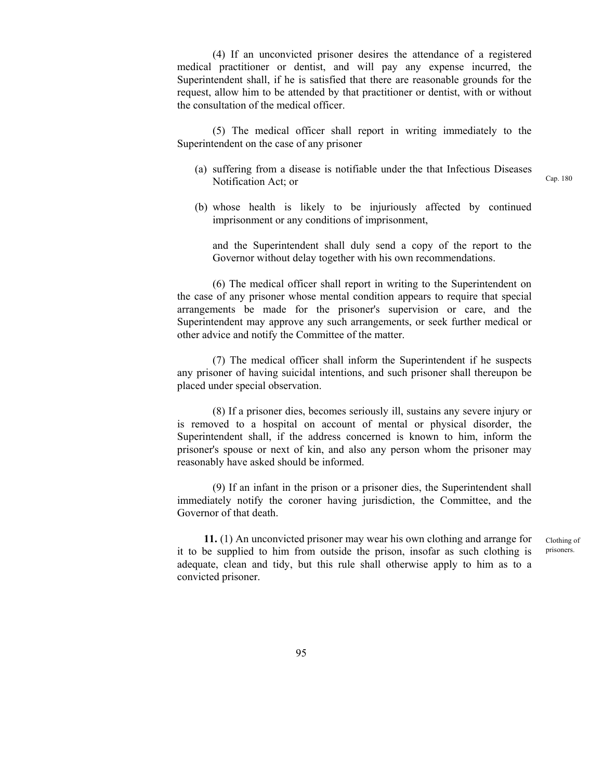(4) If an unconvicted prisoner desires the attendance of a registered medical practitioner or dentist, and will pay any expense incurred, the Superintendent shall, if he is satisfied that there are reasonable grounds for the request, allow him to be attended by that practitioner or dentist, with or without the consultation of the medical officer.

 (5) The medical officer shall report in writing immediately to the Superintendent on the case of any prisoner

- (a) suffering from a disease is notifiable under the that Infectious Diseases Notification Act; or
- (b) whose health is likely to be injuriously affected by continued imprisonment or any conditions of imprisonment,

 and the Superintendent shall duly send a copy of the report to the Governor without delay together with his own recommendations.

 (6) The medical officer shall report in writing to the Superintendent on the case of any prisoner whose mental condition appears to require that special arrangements be made for the prisoner's supervision or care, and the Superintendent may approve any such arrangements, or seek further medical or other advice and notify the Committee of the matter.

 (7) The medical officer shall inform the Superintendent if he suspects any prisoner of having suicidal intentions, and such prisoner shall thereupon be placed under special observation.

 (8) If a prisoner dies, becomes seriously ill, sustains any severe injury or is removed to a hospital on account of mental or physical disorder, the Superintendent shall, if the address concerned is known to him, inform the prisoner's spouse or next of kin, and also any person whom the prisoner may reasonably have asked should be informed.

 (9) If an infant in the prison or a prisoner dies, the Superintendent shall immediately notify the coroner having jurisdiction, the Committee, and the Governor of that death.

 **11.** (1) An unconvicted prisoner may wear his own clothing and arrange for it to be supplied to him from outside the prison, insofar as such clothing is adequate, clean and tidy, but this rule shall otherwise apply to him as to a convicted prisoner.

Clothing of prisoners.

Cap. 180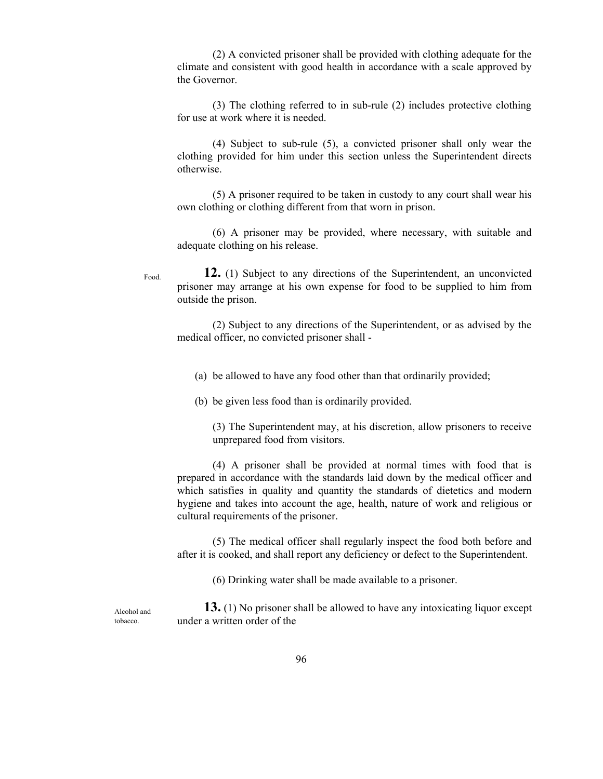(2) A convicted prisoner shall be provided with clothing adequate for the climate and consistent with good health in accordance with a scale approved by the Governor.

 (3) The clothing referred to in sub-rule (2) includes protective clothing for use at work where it is needed.

 (4) Subject to sub-rule (5), a convicted prisoner shall only wear the clothing provided for him under this section unless the Superintendent directs otherwise.

 (5) A prisoner required to be taken in custody to any court shall wear his own clothing or clothing different from that worn in prison.

 (6) A prisoner may be provided, where necessary, with suitable and adequate clothing on his release.

 **12.** (1) Subject to any directions of the Superintendent, an unconvicted prisoner may arrange at his own expense for food to be supplied to him from outside the prison.

 (2) Subject to any directions of the Superintendent, or as advised by the medical officer, no convicted prisoner shall -

(a) be allowed to have any food other than that ordinarily provided;

(b) be given less food than is ordinarily provided.

 (3) The Superintendent may, at his discretion, allow prisoners to receive unprepared food from visitors.

 (4) A prisoner shall be provided at normal times with food that is prepared in accordance with the standards laid down by the medical officer and which satisfies in quality and quantity the standards of dietetics and modern hygiene and takes into account the age, health, nature of work and religious or cultural requirements of the prisoner.

 (5) The medical officer shall regularly inspect the food both before and after it is cooked, and shall report any deficiency or defect to the Superintendent.

(6) Drinking water shall be made available to a prisoner.

Alcohol and tobacco.

Food.

**13.** (1) No prisoner shall be allowed to have any intoxicating liquor except under a written order of the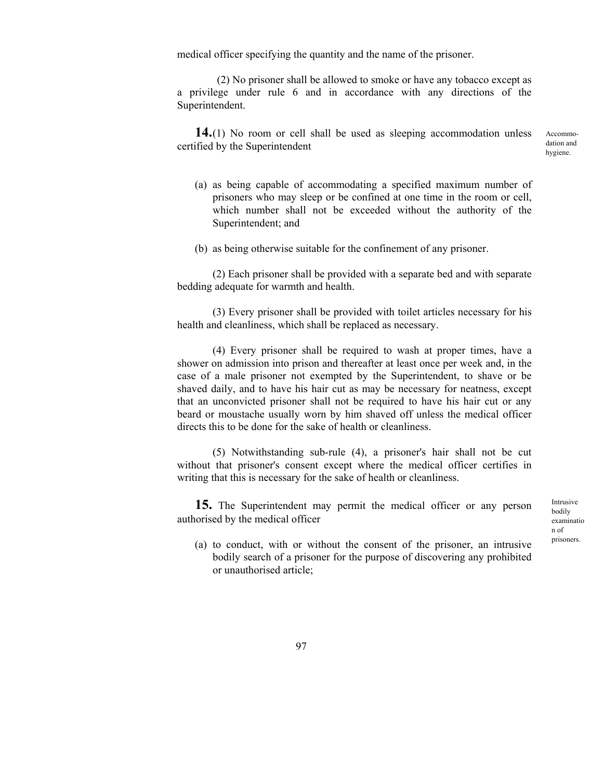medical officer specifying the quantity and the name of the prisoner.

 (2) No prisoner shall be allowed to smoke or have any tobacco except as a privilege under rule 6 and in accordance with any directions of the Superintendent.

**14.** (1) No room or cell shall be used as sleeping accommodation unless certified by the Superintendent

Accommodation and hygiene.

- (a) as being capable of accommodating a specified maximum number of prisoners who may sleep or be confined at one time in the room or cell, which number shall not be exceeded without the authority of the Superintendent; and
- (b) as being otherwise suitable for the confinement of any prisoner.

 (2) Each prisoner shall be provided with a separate bed and with separate bedding adequate for warmth and health.

 (3) Every prisoner shall be provided with toilet articles necessary for his health and cleanliness, which shall be replaced as necessary.

 (4) Every prisoner shall be required to wash at proper times, have a shower on admission into prison and thereafter at least once per week and, in the case of a male prisoner not exempted by the Superintendent, to shave or be shaved daily, and to have his hair cut as may be necessary for neatness, except that an unconvicted prisoner shall not be required to have his hair cut or any beard or moustache usually worn by him shaved off unless the medical officer directs this to be done for the sake of health or cleanliness.

 (5) Notwithstanding sub-rule (4), a prisoner's hair shall not be cut without that prisoner's consent except where the medical officer certifies in writing that this is necessary for the sake of health or cleanliness.

**15.** The Superintendent may permit the medical officer or any person authorised by the medical officer

Intrusive bodily examinatio n of prisoners.

(a) to conduct, with or without the consent of the prisoner, an intrusive bodily search of a prisoner for the purpose of discovering any prohibited or unauthorised article;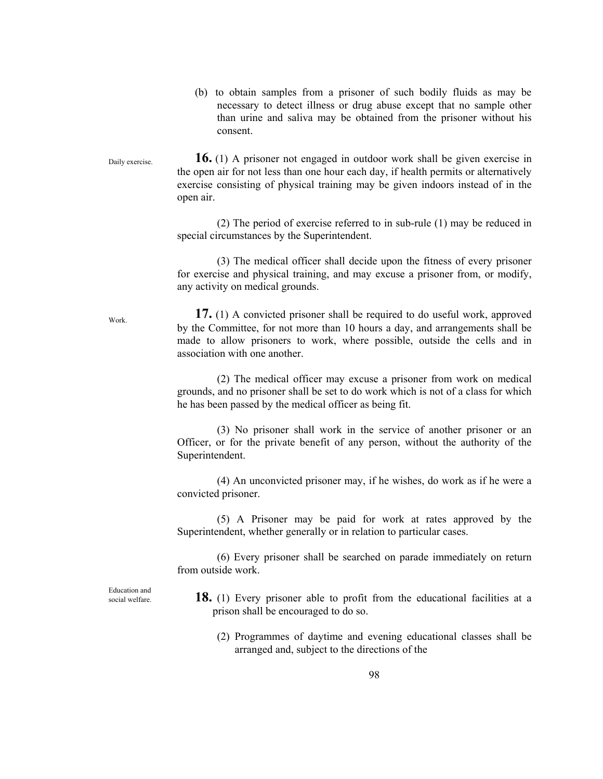(b) to obtain samples from a prisoner of such bodily fluids as may be necessary to detect illness or drug abuse except that no sample other than urine and saliva may be obtained from the prisoner without his consent.

 **16.** (1) A prisoner not engaged in outdoor work shall be given exercise in the open air for not less than one hour each day, if health permits or alternatively exercise consisting of physical training may be given indoors instead of in the open air. Daily exercise.

> (2) The period of exercise referred to in sub-rule (1) may be reduced in special circumstances by the Superintendent.

> (3) The medical officer shall decide upon the fitness of every prisoner for exercise and physical training, and may excuse a prisoner from, or modify, any activity on medical grounds.

> **17.** (1) A convicted prisoner shall be required to do useful work, approved by the Committee, for not more than 10 hours a day, and arrangements shall be made to allow prisoners to work, where possible, outside the cells and in association with one another.

> (2) The medical officer may excuse a prisoner from work on medical grounds, and no prisoner shall be set to do work which is not of a class for which he has been passed by the medical officer as being fit.

> (3) No prisoner shall work in the service of another prisoner or an Officer, or for the private benefit of any person, without the authority of the Superintendent.

> (4) An unconvicted prisoner may, if he wishes, do work as if he were a convicted prisoner.

> (5) A Prisoner may be paid for work at rates approved by the Superintendent, whether generally or in relation to particular cases.

> (6) Every prisoner shall be searched on parade immediately on return from outside work.

 **18.** (1) Every prisoner able to profit from the educational facilities at a prison shall be encouraged to do so.

(2) Programmes of daytime and evening educational classes shall be arranged and, subject to the directions of the

Work.

Education and social welfare.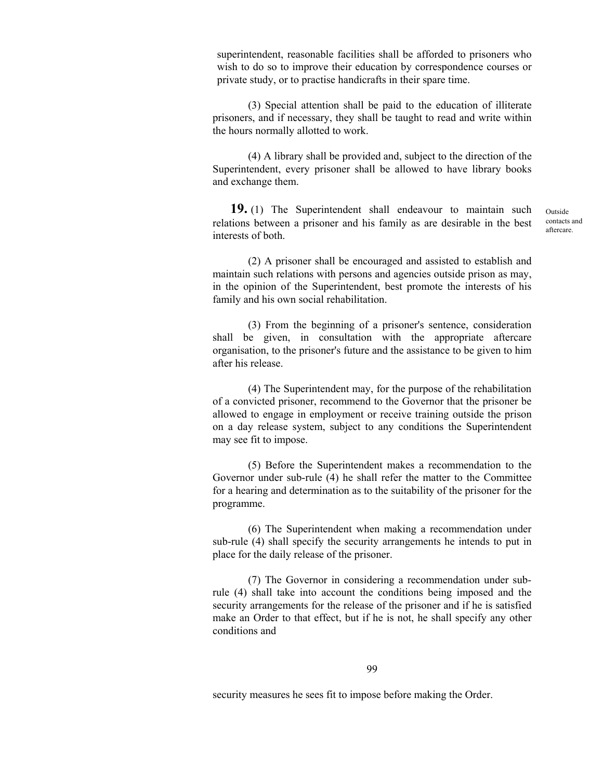superintendent, reasonable facilities shall be afforded to prisoners who wish to do so to improve their education by correspondence courses or private study, or to practise handicrafts in their spare time.

 (3) Special attention shall be paid to the education of illiterate prisoners, and if necessary, they shall be taught to read and write within the hours normally allotted to work.

 (4) A library shall be provided and, subject to the direction of the Superintendent, every prisoner shall be allowed to have library books and exchange them.

 **19.** (1) The Superintendent shall endeavour to maintain such relations between a prisoner and his family as are desirable in the best interests of both. Outside contacts and aftercare.

 (2) A prisoner shall be encouraged and assisted to establish and maintain such relations with persons and agencies outside prison as may, in the opinion of the Superintendent, best promote the interests of his family and his own social rehabilitation.

 (3) From the beginning of a prisoner's sentence, consideration shall be given, in consultation with the appropriate aftercare organisation, to the prisoner's future and the assistance to be given to him after his release.

 (4) The Superintendent may, for the purpose of the rehabilitation of a convicted prisoner, recommend to the Governor that the prisoner be allowed to engage in employment or receive training outside the prison on a day release system, subject to any conditions the Superintendent may see fit to impose.

 (5) Before the Superintendent makes a recommendation to the Governor under sub-rule (4) he shall refer the matter to the Committee for a hearing and determination as to the suitability of the prisoner for the programme.

 (6) The Superintendent when making a recommendation under sub-rule (4) shall specify the security arrangements he intends to put in place for the daily release of the prisoner.

 (7) The Governor in considering a recommendation under subrule (4) shall take into account the conditions being imposed and the security arrangements for the release of the prisoner and if he is satisfied make an Order to that effect, but if he is not, he shall specify any other conditions and

99

security measures he sees fit to impose before making the Order.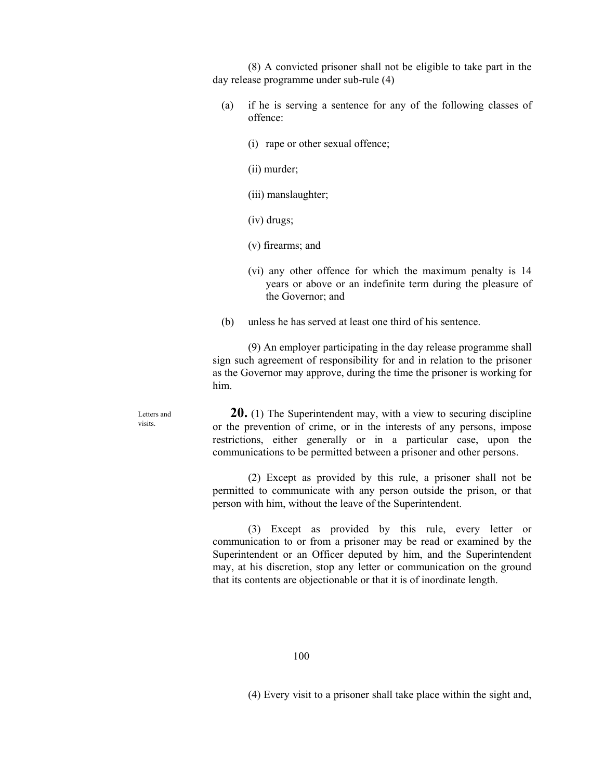(8) A convicted prisoner shall not be eligible to take part in the day release programme under sub-rule (4)

- (a) if he is serving a sentence for any of the following classes of offence:
	- (i) rape or other sexual offence;
	- (ii) murder;
	- (iii) manslaughter;
	- (iv) drugs;
	- (v) firearms; and
	- (vi) any other offence for which the maximum penalty is 14 years or above or an indefinite term during the pleasure of the Governor; and
- (b) unless he has served at least one third of his sentence.

 (9) An employer participating in the day release programme shall sign such agreement of responsibility for and in relation to the prisoner as the Governor may approve, during the time the prisoner is working for him.

Letters and visits.

 **20.** (1) The Superintendent may, with a view to securing discipline or the prevention of crime, or in the interests of any persons, impose restrictions, either generally or in a particular case, upon the communications to be permitted between a prisoner and other persons.

 (2) Except as provided by this rule, a prisoner shall not be permitted to communicate with any person outside the prison, or that person with him, without the leave of the Superintendent.

 (3) Except as provided by this rule, every letter or communication to or from a prisoner may be read or examined by the Superintendent or an Officer deputed by him, and the Superintendent may, at his discretion, stop any letter or communication on the ground that its contents are objectionable or that it is of inordinate length.

(4) Every visit to a prisoner shall take place within the sight and,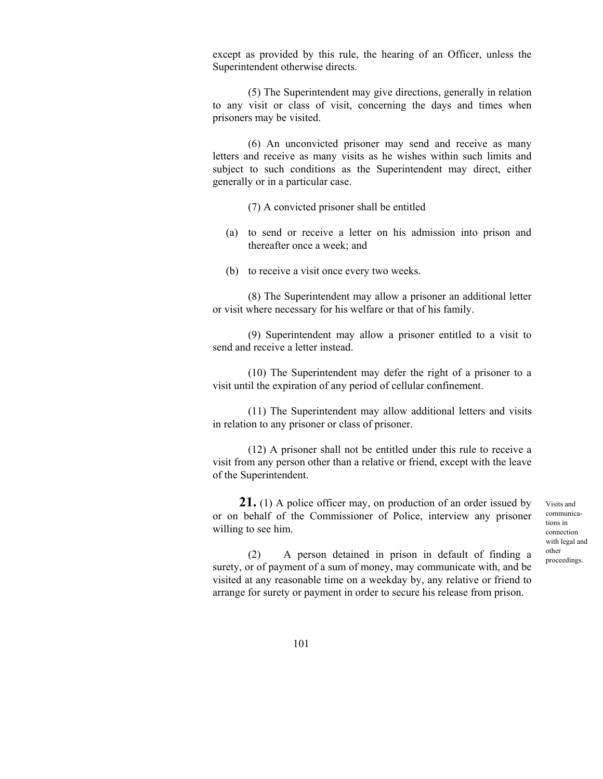except as provided by this rule, the hearing of an Officer, unless the Superintendent otherwise directs.

 (5) The Superintendent may give directions, generally in relation to any visit or class of visit, concerning the days and times when prisoners may be visited.

 (6) An unconvicted prisoner may send and receive as many letters and receive as many visits as he wishes within such limits and subject to such conditions as the Superintendent may direct, either generally or in a particular case.

(7) A convicted prisoner shall be entitled

- (a) to send or receive a letter on his admission into prison and thereafter once a week; and
- (b) to receive a visit once every two weeks.

 (8) The Superintendent may allow a prisoner an additional letter or visit where necessary for his welfare or that of his family.

 (9) Superintendent may allow a prisoner entitled to a visit to send and receive a letter instead.

 (10) The Superintendent may defer the right of a prisoner to a visit until the expiration of any period of cellular confinement.

 (11) The Superintendent may allow additional letters and visits in relation to any prisoner or class of prisoner.

 (12) A prisoner shall not be entitled under this rule to receive a visit from any person other than a relative or friend, except with the leave of the Superintendent.

21. (1) A police officer may, on production of an order issued by or on behalf of the Commissioner of Police, interview any prisoner willing to see him.

 (2) A person detained in prison in default of finding a surety, or of payment of a sum of money, may communicate with, and be visited at any reasonable time on a weekday by, any relative or friend to arrange for surety or payment in order to secure his release from prison.

Visits and communications in connection with legal and other proceedings.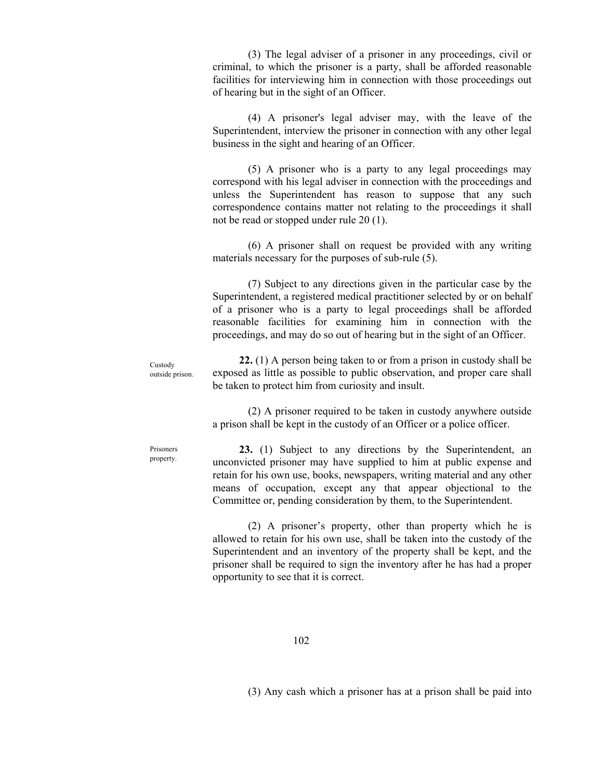(3) The legal adviser of a prisoner in any proceedings, civil or criminal, to which the prisoner is a party, shall be afforded reasonable facilities for interviewing him in connection with those proceedings out of hearing but in the sight of an Officer.

 (4) A prisoner's legal adviser may, with the leave of the Superintendent, interview the prisoner in connection with any other legal business in the sight and hearing of an Officer.

 (5) A prisoner who is a party to any legal proceedings may correspond with his legal adviser in connection with the proceedings and unless the Superintendent has reason to suppose that any such correspondence contains matter not relating to the proceedings it shall not be read or stopped under rule 20 (1).

 (6) A prisoner shall on request be provided with any writing materials necessary for the purposes of sub-rule (5).

 (7) Subject to any directions given in the particular case by the Superintendent, a registered medical practitioner selected by or on behalf of a prisoner who is a party to legal proceedings shall be afforded reasonable facilities for examining him in connection with the proceedings, and may do so out of hearing but in the sight of an Officer.

 **22.** (1) A person being taken to or from a prison in custody shall be exposed as little as possible to public observation, and proper care shall be taken to protect him from curiosity and insult. Custody outside prison.

> (2) A prisoner required to be taken in custody anywhere outside a prison shall be kept in the custody of an Officer or a police officer.

Prisoners property.

 **23.** (1) Subject to any directions by the Superintendent, an unconvicted prisoner may have supplied to him at public expense and retain for his own use, books, newspapers, writing material and any other means of occupation, except any that appear objectional to the Committee or, pending consideration by them, to the Superintendent.

 (2) A prisoner's property, other than property which he is allowed to retain for his own use, shall be taken into the custody of the Superintendent and an inventory of the property shall be kept, and the prisoner shall be required to sign the inventory after he has had a proper opportunity to see that it is correct.

(3) Any cash which a prisoner has at a prison shall be paid into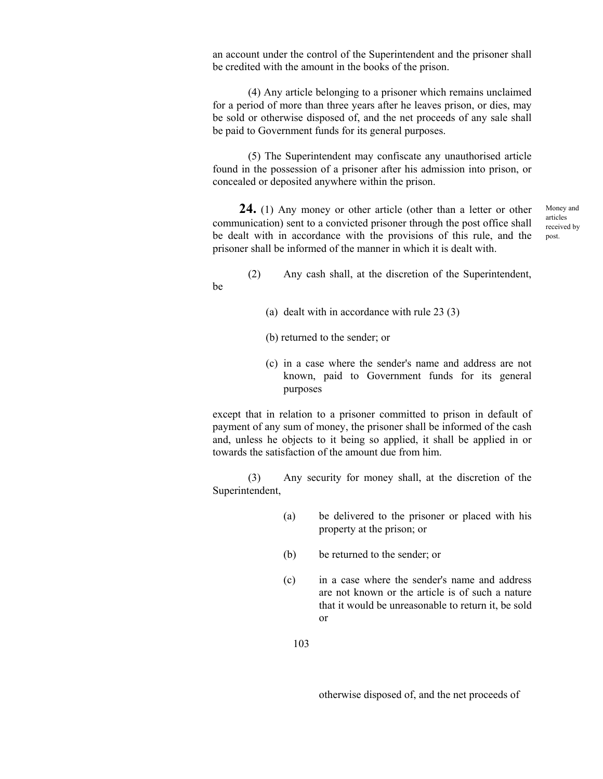an account under the control of the Superintendent and the prisoner shall be credited with the amount in the books of the prison.

 (4) Any article belonging to a prisoner which remains unclaimed for a period of more than three years after he leaves prison, or dies, may be sold or otherwise disposed of, and the net proceeds of any sale shall be paid to Government funds for its general purposes.

 (5) The Superintendent may confiscate any unauthorised article found in the possession of a prisoner after his admission into prison, or concealed or deposited anywhere within the prison.

 **24.** (1) Any money or other article (other than a letter or other communication) sent to a convicted prisoner through the post office shall be dealt with in accordance with the provisions of this rule, and the prisoner shall be informed of the manner in which it is dealt with.

Money and articles received by post.

- (2) Any cash shall, at the discretion of the Superintendent,
	- (a) dealt with in accordance with rule 23 (3)
	- (b) returned to the sender; or

be

 (c) in a case where the sender's name and address are not known, paid to Government funds for its general purposes

 except that in relation to a prisoner committed to prison in default of payment of any sum of money, the prisoner shall be informed of the cash and, unless he objects to it being so applied, it shall be applied in or towards the satisfaction of the amount due from him.

 (3) Any security for money shall, at the discretion of the Superintendent,

- (a) be delivered to the prisoner or placed with his property at the prison; or
- (b) be returned to the sender; or
- (c) in a case where the sender's name and address are not known or the article is of such a nature that it would be unreasonable to return it, be sold or

otherwise disposed of, and the net proceeds of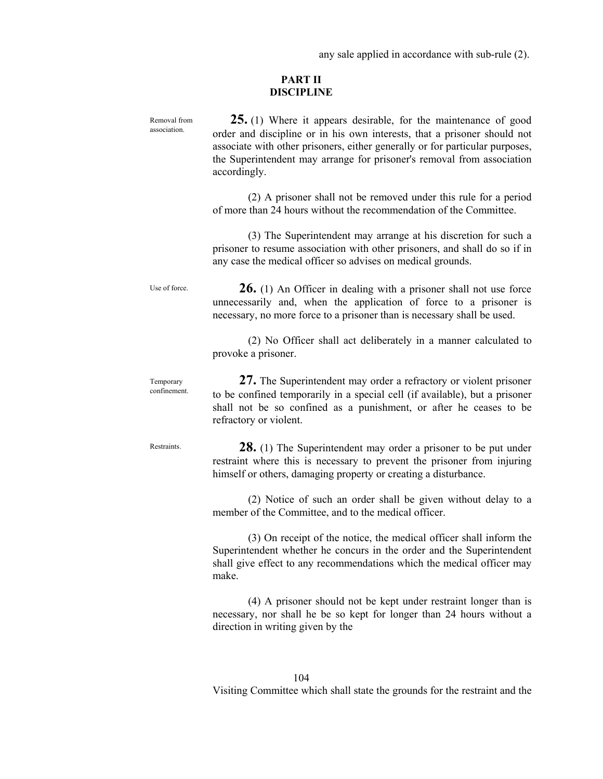any sale applied in accordance with sub-rule (2).

### **PART II DISCIPLINE**

 **25.** (1) Where it appears desirable, for the maintenance of good order and discipline or in his own interests, that a prisoner should not associate with other prisoners, either generally or for particular purposes, the Superintendent may arrange for prisoner's removal from association accordingly. (2) A prisoner shall not be removed under this rule for a period of more than 24 hours without the recommendation of the Committee. (3) The Superintendent may arrange at his discretion for such a prisoner to resume association with other prisoners, and shall do so if in any case the medical officer so advises on medical grounds. **26.** (1) An Officer in dealing with a prisoner shall not use force unnecessarily and, when the application of force to a prisoner is necessary, no more force to a prisoner than is necessary shall be used. (2) No Officer shall act deliberately in a manner calculated to provoke a prisoner. **27.** The Superintendent may order a refractory or violent prisoner to be confined temporarily in a special cell (if available), but a prisoner shall not be so confined as a punishment, or after he ceases to be refractory or violent. **28.** (1) The Superintendent may order a prisoner to be put under restraint where this is necessary to prevent the prisoner from injuring himself or others, damaging property or creating a disturbance. (2) Notice of such an order shall be given without delay to a member of the Committee, and to the medical officer. (3) On receipt of the notice, the medical officer shall inform the Superintendent whether he concurs in the order and the Superintendent shall give effect to any recommendations which the medical officer may make. (4) A prisoner should not be kept under restraint longer than is necessary, nor shall he be so kept for longer than 24 hours without a direction in writing given by the Removal from association. Use of force. Temporary confinement. **Restraints**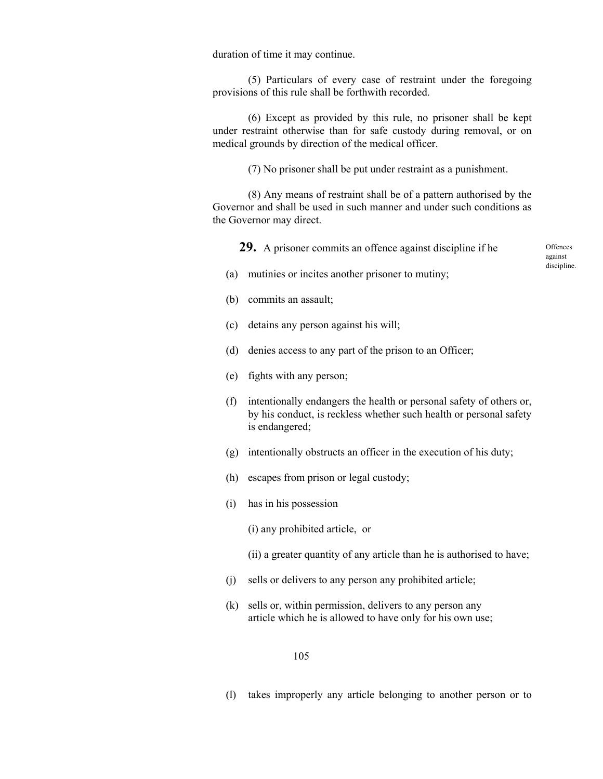duration of time it may continue.

 (5) Particulars of every case of restraint under the foregoing provisions of this rule shall be forthwith recorded.

 (6) Except as provided by this rule, no prisoner shall be kept under restraint otherwise than for safe custody during removal, or on medical grounds by direction of the medical officer.

(7) No prisoner shall be put under restraint as a punishment.

 (8) Any means of restraint shall be of a pattern authorised by the Governor and shall be used in such manner and under such conditions as the Governor may direct.

**29.** A prisoner commits an offence against discipline if he

**Offences** against discipline.

- (a) mutinies or incites another prisoner to mutiny;
- (b) commits an assault;
- (c) detains any person against his will;
- (d) denies access to any part of the prison to an Officer;
- (e) fights with any person;
- (f) intentionally endangers the health or personal safety of others or, by his conduct, is reckless whether such health or personal safety is endangered;
- (g) intentionally obstructs an officer in the execution of his duty;
- (h) escapes from prison or legal custody;
- (i) has in his possession

(i) any prohibited article, or

- (ii) a greater quantity of any article than he is authorised to have;
- (j) sells or delivers to any person any prohibited article;
- (k) sells or, within permission, delivers to any person any article which he is allowed to have only for his own use;

### 105

(l) takes improperly any article belonging to another person or to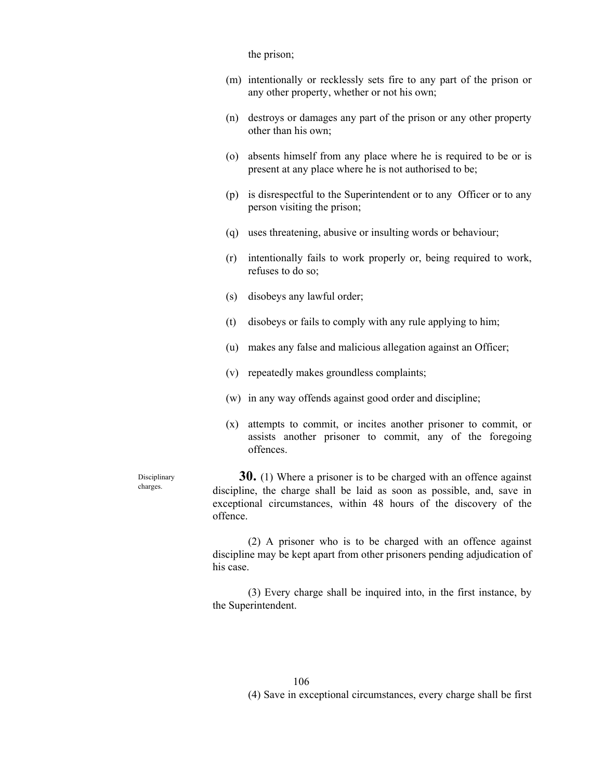the prison;

- (m) intentionally or recklessly sets fire to any part of the prison or any other property, whether or not his own;
- (n) destroys or damages any part of the prison or any other property other than his own;
- (o) absents himself from any place where he is required to be or is present at any place where he is not authorised to be;
- (p) is disrespectful to the Superintendent or to any Officer or to any person visiting the prison;
- (q) uses threatening, abusive or insulting words or behaviour;
- (r) intentionally fails to work properly or, being required to work, refuses to do so;
- (s) disobeys any lawful order;
- (t) disobeys or fails to comply with any rule applying to him;
- (u) makes any false and malicious allegation against an Officer;
- (v) repeatedly makes groundless complaints;
- (w) in any way offends against good order and discipline;
- (x) attempts to commit, or incites another prisoner to commit, or assists another prisoner to commit, any of the foregoing offences.

**Disciplinary** charges.

 **30.** (1) Where a prisoner is to be charged with an offence against discipline, the charge shall be laid as soon as possible, and, save in exceptional circumstances, within 48 hours of the discovery of the offence.

 (2) A prisoner who is to be charged with an offence against discipline may be kept apart from other prisoners pending adjudication of his case.

 (3) Every charge shall be inquired into, in the first instance, by the Superintendent.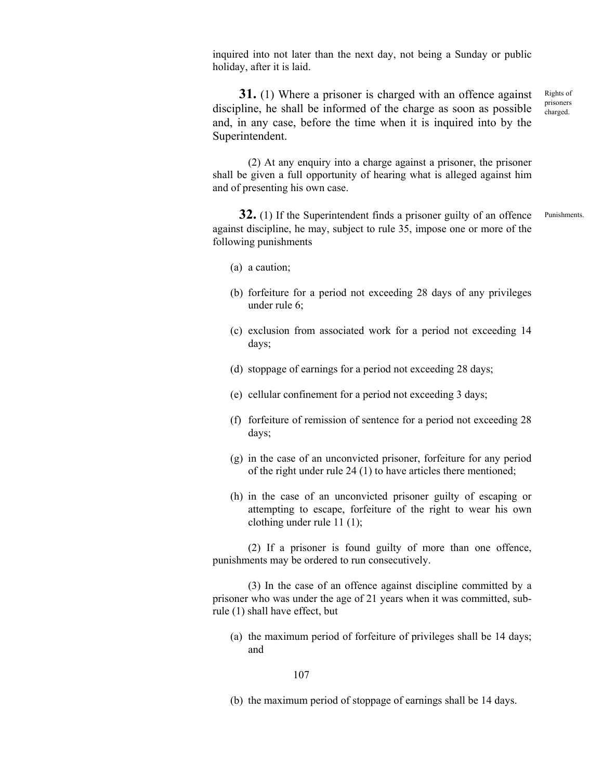inquired into not later than the next day, not being a Sunday or public holiday, after it is laid.

**31.** (1) Where a prisoner is charged with an offence against discipline, he shall be informed of the charge as soon as possible and, in any case, before the time when it is inquired into by the Superintendent. Rights of prisoners charged.

 (2) At any enquiry into a charge against a prisoner, the prisoner shall be given a full opportunity of hearing what is alleged against him and of presenting his own case.

**32.** (1) If the Superintendent finds a prisoner guilty of an offence against discipline, he may, subject to rule 35, impose one or more of the following punishments Punishments.

(a) a caution;

- (b) forfeiture for a period not exceeding 28 days of any privileges under rule 6;
- (c) exclusion from associated work for a period not exceeding 14 days;
- (d) stoppage of earnings for a period not exceeding 28 days;
- (e) cellular confinement for a period not exceeding 3 days;
- (f) forfeiture of remission of sentence for a period not exceeding 28 days;
- (g) in the case of an unconvicted prisoner, forfeiture for any period of the right under rule 24 (1) to have articles there mentioned;
- (h) in the case of an unconvicted prisoner guilty of escaping or attempting to escape, forfeiture of the right to wear his own clothing under rule 11 (1);

 (2) If a prisoner is found guilty of more than one offence, punishments may be ordered to run consecutively.

 (3) In the case of an offence against discipline committed by a prisoner who was under the age of 21 years when it was committed, subrule (1) shall have effect, but

(a) the maximum period of forfeiture of privileges shall be 14 days; and

#### 107

(b) the maximum period of stoppage of earnings shall be 14 days.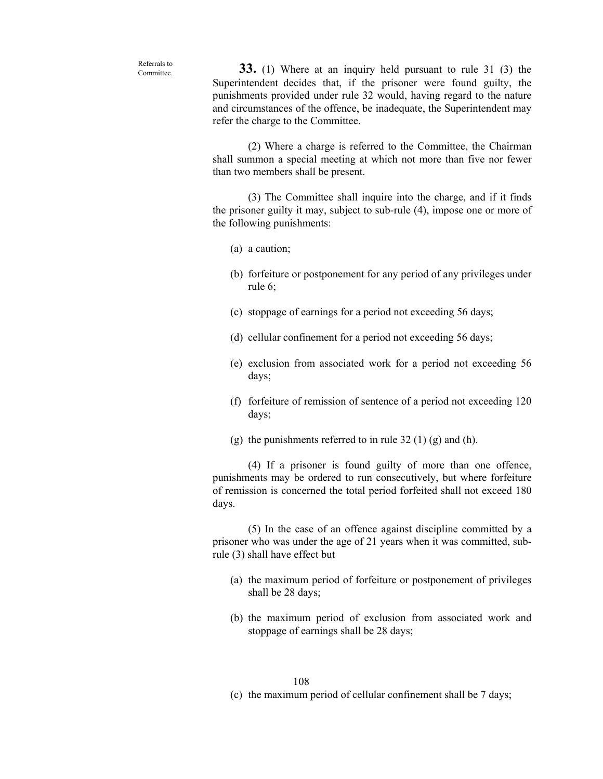Referrals to Committee.

 **33.** (1) Where at an inquiry held pursuant to rule 31 (3) the Superintendent decides that, if the prisoner were found guilty, the punishments provided under rule 32 would, having regard to the nature and circumstances of the offence, be inadequate, the Superintendent may refer the charge to the Committee.

 (2) Where a charge is referred to the Committee, the Chairman shall summon a special meeting at which not more than five nor fewer than two members shall be present.

 (3) The Committee shall inquire into the charge, and if it finds the prisoner guilty it may, subject to sub-rule (4), impose one or more of the following punishments:

- (a) a caution;
- (b) forfeiture or postponement for any period of any privileges under rule 6;
- (c) stoppage of earnings for a period not exceeding 56 days;
- (d) cellular confinement for a period not exceeding 56 days;
- (e) exclusion from associated work for a period not exceeding 56 days;
- (f) forfeiture of remission of sentence of a period not exceeding 120 days;
- (g) the punishments referred to in rule  $32(1)(g)$  and (h).

 (4) If a prisoner is found guilty of more than one offence, punishments may be ordered to run consecutively, but where forfeiture of remission is concerned the total period forfeited shall not exceed 180 days.

 (5) In the case of an offence against discipline committed by a prisoner who was under the age of 21 years when it was committed, subrule (3) shall have effect but

- (a) the maximum period of forfeiture or postponement of privileges shall be 28 days;
- (b) the maximum period of exclusion from associated work and stoppage of earnings shall be 28 days;

#### 108

(c) the maximum period of cellular confinement shall be 7 days;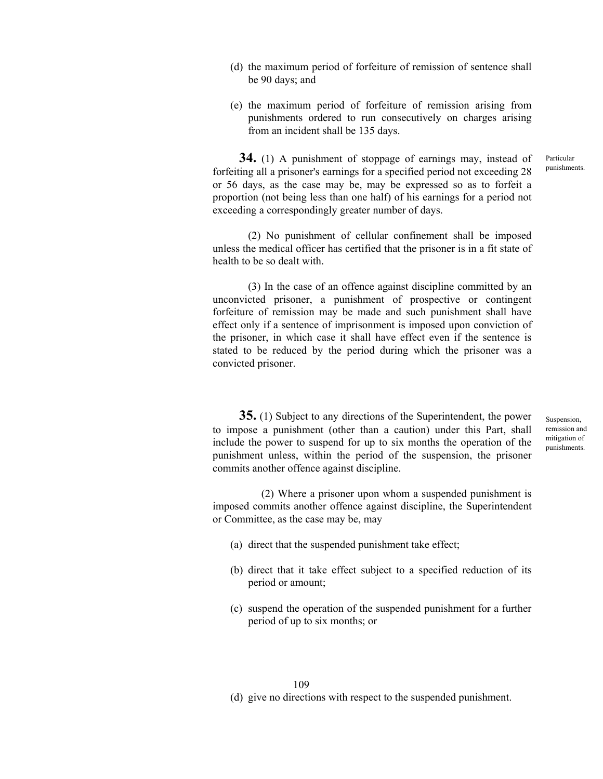- (d) the maximum period of forfeiture of remission of sentence shall be 90 days; and
- (e) the maximum period of forfeiture of remission arising from punishments ordered to run consecutively on charges arising from an incident shall be 135 days.

 **34.** (1) A punishment of stoppage of earnings may, instead of forfeiting all a prisoner's earnings for a specified period not exceeding 28 or 56 days, as the case may be, may be expressed so as to forfeit a proportion (not being less than one half) of his earnings for a period not exceeding a correspondingly greater number of days. Particular punishments.

 (2) No punishment of cellular confinement shall be imposed unless the medical officer has certified that the prisoner is in a fit state of health to be so dealt with.

 (3) In the case of an offence against discipline committed by an unconvicted prisoner, a punishment of prospective or contingent forfeiture of remission may be made and such punishment shall have effect only if a sentence of imprisonment is imposed upon conviction of the prisoner, in which case it shall have effect even if the sentence is stated to be reduced by the period during which the prisoner was a convicted prisoner.

 **35.** (1) Subject to any directions of the Superintendent, the power to impose a punishment (other than a caution) under this Part, shall include the power to suspend for up to six months the operation of the punishment unless, within the period of the suspension, the prisoner commits another offence against discipline.

Suspension, remission and mitigation of punishments.

(2) Where a prisoner upon whom a suspended punishment is imposed commits another offence against discipline, the Superintendent or Committee, as the case may be, may

- (a) direct that the suspended punishment take effect;
- (b) direct that it take effect subject to a specified reduction of its period or amount;
- (c) suspend the operation of the suspended punishment for a further period of up to six months; or

109 (d) give no directions with respect to the suspended punishment.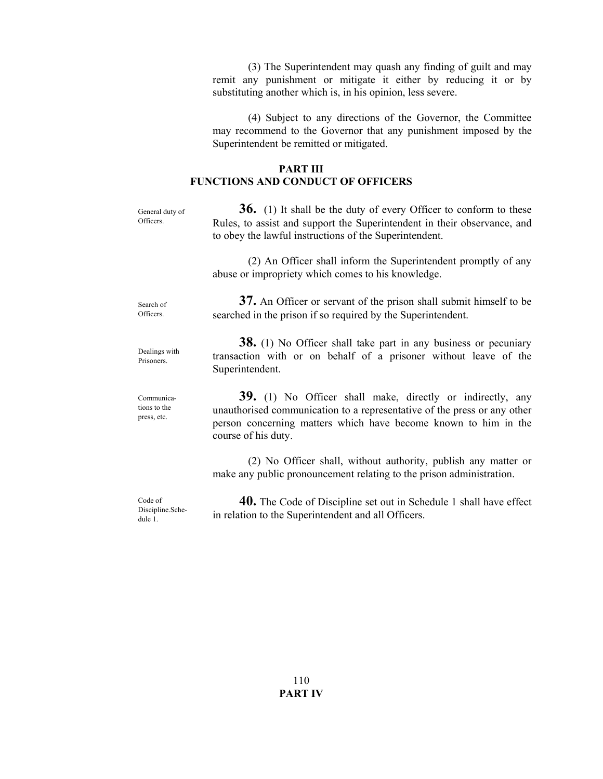(3) The Superintendent may quash any finding of guilt and may remit any punishment or mitigate it either by reducing it or by substituting another which is, in his opinion, less severe.

 (4) Subject to any directions of the Governor, the Committee may recommend to the Governor that any punishment imposed by the Superintendent be remitted or mitigated.

## **PART III FUNCTIONS AND CONDUCT OF OFFICERS**

**36.** (1) It shall be the duty of every Officer to conform to these Rules, to assist and support the Superintendent in their observance, and to obey the lawful instructions of the Superintendent. (2) An Officer shall inform the Superintendent promptly of any abuse or impropriety which comes to his knowledge. **37.** An Officer or servant of the prison shall submit himself to be searched in the prison if so required by the Superintendent. **38.** (1) No Officer shall take part in any business or pecuniary transaction with or on behalf of a prisoner without leave of the Superintendent. **39.** (1) No Officer shall make, directly or indirectly, any unauthorised communication to a representative of the press or any other person concerning matters which have become known to him in the course of his duty. (2) No Officer shall, without authority, publish any matter or make any public pronouncement relating to the prison administration. General duty of Officers. Search of Officers. Dealings with Prisoners. Communications to the press, etc.

 **40.** The Code of Discipline set out in Schedule 1 shall have effect in relation to the Superintendent and all Officers. Code of Discipline.Schedule 1.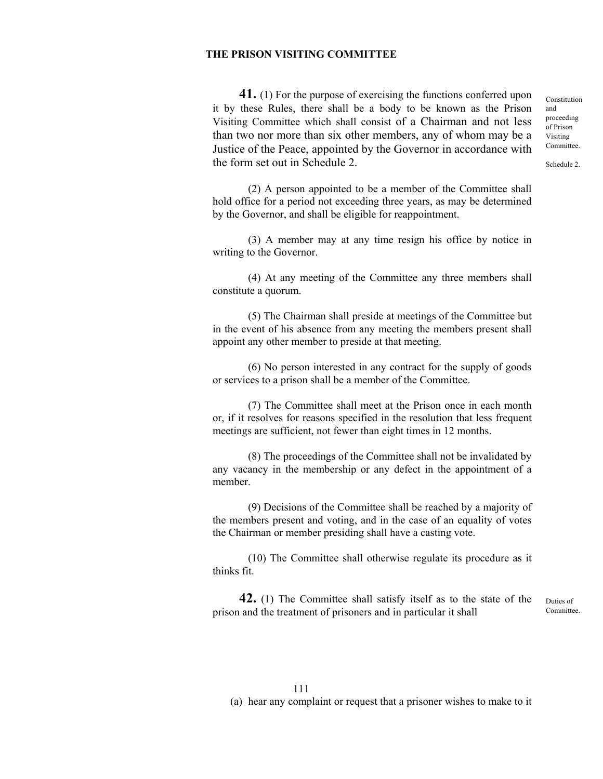## **THE PRISON VISITING COMMITTEE**

 **41.** (1) For the purpose of exercising the functions conferred upon it by these Rules, there shall be a body to be known as the Prison Visiting Committee which shall consist of a Chairman and not less than two nor more than six other members, any of whom may be a Justice of the Peace, appointed by the Governor in accordance with the form set out in Schedule 2.

 (2) A person appointed to be a member of the Committee shall hold office for a period not exceeding three years, as may be determined by the Governor, and shall be eligible for reappointment.

 (3) A member may at any time resign his office by notice in writing to the Governor.

 (4) At any meeting of the Committee any three members shall constitute a quorum.

 (5) The Chairman shall preside at meetings of the Committee but in the event of his absence from any meeting the members present shall appoint any other member to preside at that meeting.

 (6) No person interested in any contract for the supply of goods or services to a prison shall be a member of the Committee.

 (7) The Committee shall meet at the Prison once in each month or, if it resolves for reasons specified in the resolution that less frequent meetings are sufficient, not fewer than eight times in 12 months.

 (8) The proceedings of the Committee shall not be invalidated by any vacancy in the membership or any defect in the appointment of a member.

 (9) Decisions of the Committee shall be reached by a majority of the members present and voting, and in the case of an equality of votes the Chairman or member presiding shall have a casting vote.

 (10) The Committee shall otherwise regulate its procedure as it thinks fit.

**42.** (1) The Committee shall satisfy itself as to the state of the prison and the treatment of prisoners and in particular it shall

Duties of Committee.

Constitution and proceeding of Prison Visiting Committee.

Schedule 2.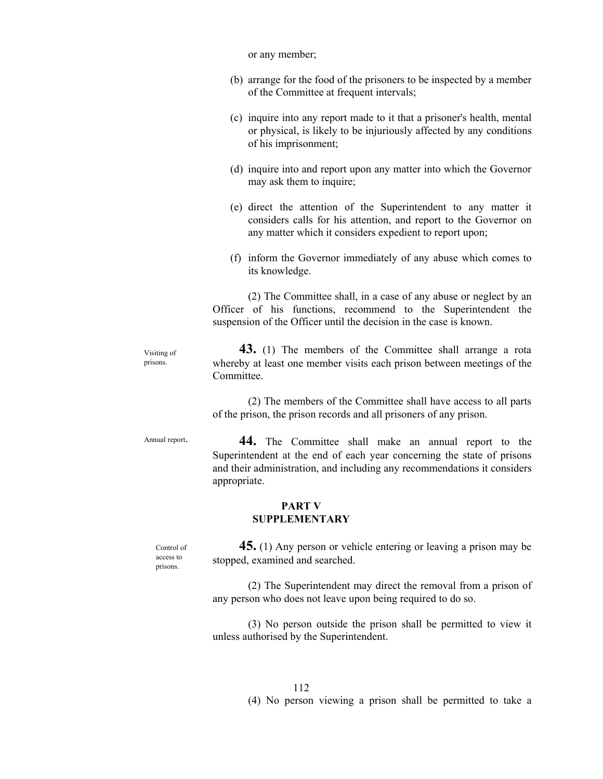or any member; (b) arrange for the food of the prisoners to be inspected by a member of the Committee at frequent intervals; (c) inquire into any report made to it that a prisoner's health, mental or physical, is likely to be injuriously affected by any conditions of his imprisonment; (d) inquire into and report upon any matter into which the Governor may ask them to inquire; (e) direct the attention of the Superintendent to any matter it considers calls for his attention, and report to the Governor on any matter which it considers expedient to report upon; (f) inform the Governor immediately of any abuse which comes to its knowledge. (2) The Committee shall, in a case of any abuse or neglect by an Officer of his functions, recommend to the Superintendent the suspension of the Officer until the decision in the case is known. **43.** (1) The members of the Committee shall arrange a rota whereby at least one member visits each prison between meetings of the Committee. (2) The members of the Committee shall have access to all parts of the prison, the prison records and all prisoners of any prison. **44.** The Committee shall make an annual report to the Superintendent at the end of each year concerning the state of prisons and their administration, and including any recommendations it considers appropriate. **PART V SUPPLEMENTARY 45.** (1) Any person or vehicle entering or leaving a prison may be stopped, examined and searched. (2) The Superintendent may direct the removal from a prison of any person who does not leave upon being required to do so. Visiting of prisons. Annual report. Control of access to prisons.

> (3) No person outside the prison shall be permitted to view it unless authorised by the Superintendent.

> > 112 (4) No person viewing a prison shall be permitted to take a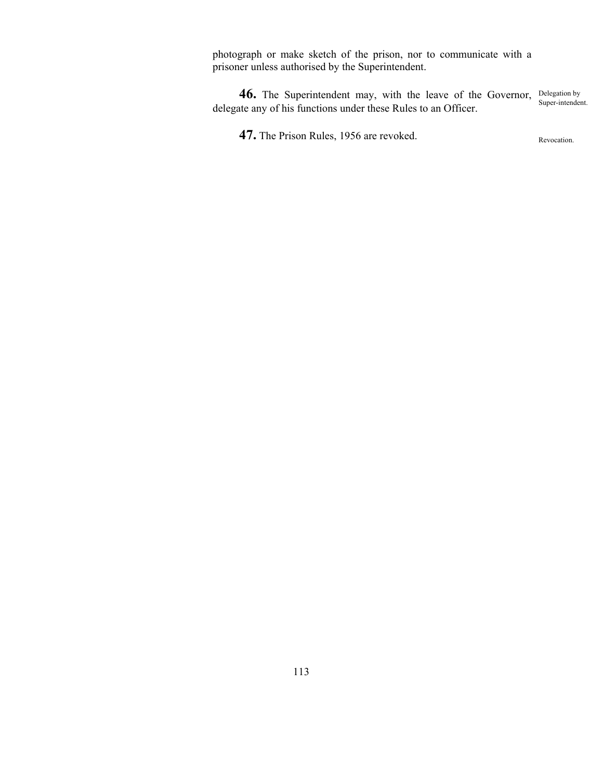photograph or make sketch of the prison, nor to communicate with a prisoner unless authorised by the Superintendent.

**46.** The Superintendent may, with the leave of the Governor, Delegation by delegate any of his functions under these Rules to an Officer. Super-intendent.

**47.** The Prison Rules, 1956 are revoked.

Revocation.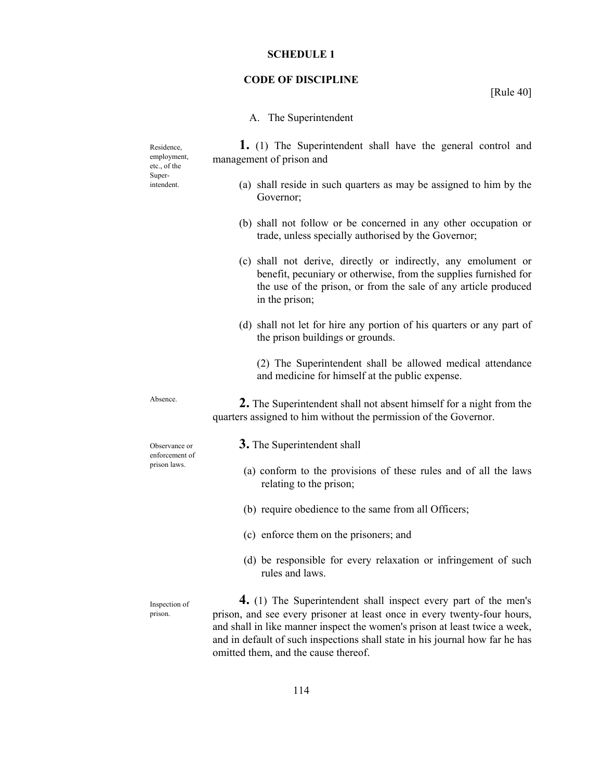#### **SCHEDULE 1**

#### **CODE OF DISCIPLINE**

[Rule 40]

#### A. The Superintendent

 **1.** (1) The Superintendent shall have the general control and management of prison and

- (a) shall reside in such quarters as may be assigned to him by the Governor;
- (b) shall not follow or be concerned in any other occupation or trade, unless specially authorised by the Governor;
- (c) shall not derive, directly or indirectly, any emolument or benefit, pecuniary or otherwise, from the supplies furnished for the use of the prison, or from the sale of any article produced in the prison;
- (d) shall not let for hire any portion of his quarters or any part of the prison buildings or grounds.

(2) The Superintendent shall be allowed medical attendance and medicine for himself at the public expense.

 **2.** The Superintendent shall not absent himself for a night from the quarters assigned to him without the permission of the Governor.

**3.** The Superintendent shall

- (a) conform to the provisions of these rules and of all the laws relating to the prison;
- (b) require obedience to the same from all Officers;
- (c) enforce them on the prisoners; and
- (d) be responsible for every relaxation or infringement of such rules and laws.

 **4.** (1) The Superintendent shall inspect every part of the men's prison, and see every prisoner at least once in every twenty-four hours, and shall in like manner inspect the women's prison at least twice a week, and in default of such inspections shall state in his journal how far he has omitted them, and the cause thereof.

Residence, employment, etc., of the Superintendent.

Absence.

Observance or enforcement of prison laws.

Inspection of prison.

114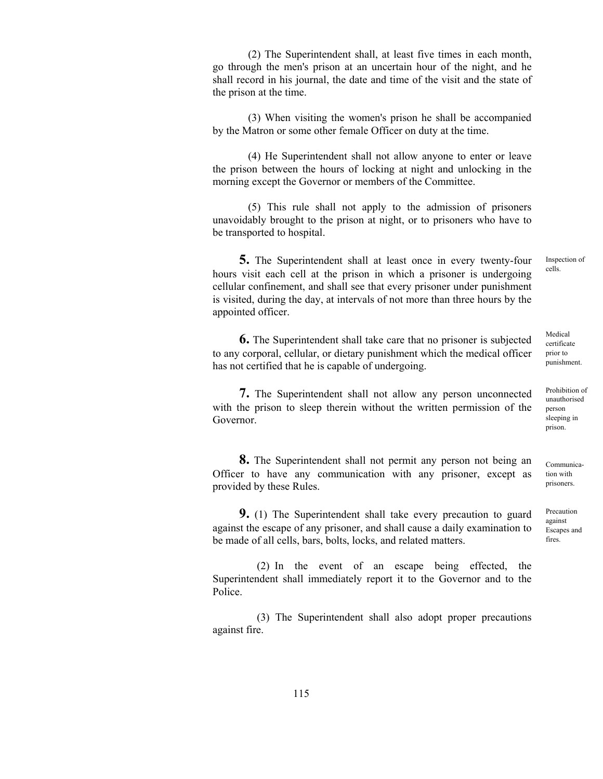(2) The Superintendent shall, at least five times in each month, go through the men's prison at an uncertain hour of the night, and he shall record in his journal, the date and time of the visit and the state of the prison at the time.

 (3) When visiting the women's prison he shall be accompanied by the Matron or some other female Officer on duty at the time.

 (4) He Superintendent shall not allow anyone to enter or leave the prison between the hours of locking at night and unlocking in the morning except the Governor or members of the Committee.

 (5) This rule shall not apply to the admission of prisoners unavoidably brought to the prison at night, or to prisoners who have to be transported to hospital.

 **5.** The Superintendent shall at least once in every twenty-four hours visit each cell at the prison in which a prisoner is undergoing cellular confinement, and shall see that every prisoner under punishment is visited, during the day, at intervals of not more than three hours by the appointed officer.

 **6.** The Superintendent shall take care that no prisoner is subjected to any corporal, cellular, or dietary punishment which the medical officer has not certified that he is capable of undergoing.

**7.** The Superintendent shall not allow any person unconnected with the prison to sleep therein without the written permission of the Governor.

 **8.** The Superintendent shall not permit any person not being an Officer to have any communication with any prisoner, except as provided by these Rules.

 **9.** (1) The Superintendent shall take every precaution to guard against the escape of any prisoner, and shall cause a daily examination to be made of all cells, bars, bolts, locks, and related matters.

(2) In the event of an escape being effected, the Superintendent shall immediately report it to the Governor and to the Police.

(3) The Superintendent shall also adopt proper precautions against fire.

Inspection of cells.

Medical certificate prior to punishment.

Prohibition of unauthorised person sleeping in prison.

Communication with prisoners.

Precaution against Escapes and fires.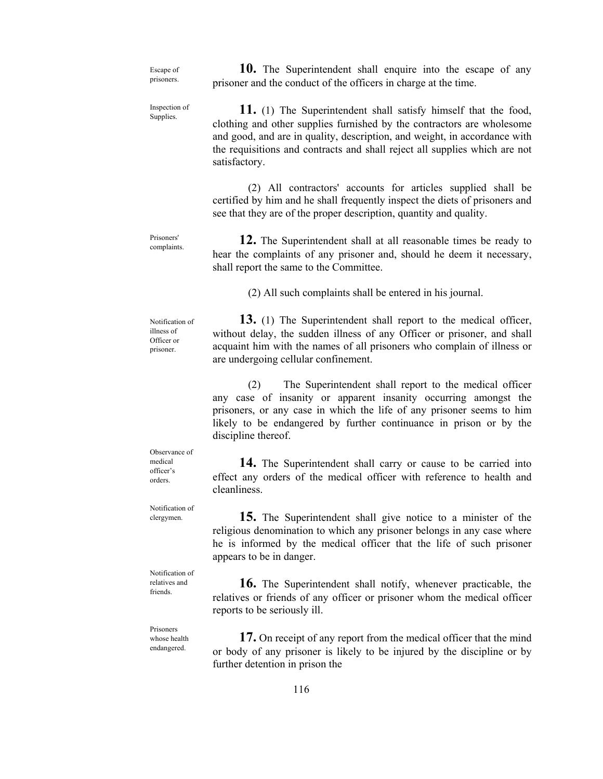Escape of prisoners.

 **10.** The Superintendent shall enquire into the escape of any prisoner and the conduct of the officers in charge at the time.

Inspection of Supplies.

 **11.** (1) The Superintendent shall satisfy himself that the food, clothing and other supplies furnished by the contractors are wholesome and good, and are in quality, description, and weight, in accordance with the requisitions and contracts and shall reject all supplies which are not satisfactory.

 (2) All contractors' accounts for articles supplied shall be certified by him and he shall frequently inspect the diets of prisoners and see that they are of the proper description, quantity and quality.

Prisoners' complaints.

illness of Officer or prisoner.

 **12.** The Superintendent shall at all reasonable times be ready to hear the complaints of any prisoner and, should he deem it necessary, shall report the same to the Committee.

(2) All such complaints shall be entered in his journal.

 **13.** (1) The Superintendent shall report to the medical officer, without delay, the sudden illness of any Officer or prisoner, and shall acquaint him with the names of all prisoners who complain of illness or are undergoing cellular confinement. Notification of

> (2) The Superintendent shall report to the medical officer any case of insanity or apparent insanity occurring amongst the prisoners, or any case in which the life of any prisoner seems to him likely to be endangered by further continuance in prison or by the discipline thereof.

> **14.** The Superintendent shall carry or cause to be carried into effect any orders of the medical officer with reference to health and cleanliness.

> **15.** The Superintendent shall give notice to a minister of the religious denomination to which any prisoner belongs in any case where he is informed by the medical officer that the life of such prisoner appears to be in danger.

> **16.** The Superintendent shall notify, whenever practicable, the relatives or friends of any officer or prisoner whom the medical officer reports to be seriously ill.

> **17.** On receipt of any report from the medical officer that the mind or body of any prisoner is likely to be injured by the discipline or by further detention in prison the

Observance of medical officer's orders.

Notification of clergymen.

Notification of relatives and friends

Prisoners whose health endangered.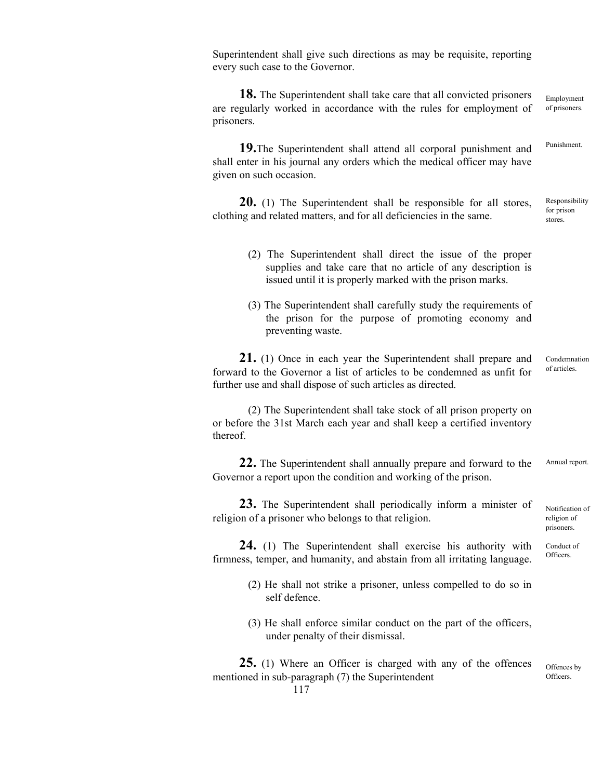Superintendent shall give such directions as may be requisite, reporting every such case to the Governor.

 **18.** The Superintendent shall take care that all convicted prisoners are regularly worked in accordance with the rules for employment of prisoners. Employment of prisoners.

 **19.**The Superintendent shall attend all corporal punishment and shall enter in his journal any orders which the medical officer may have given on such occasion.

 **20.** (1) The Superintendent shall be responsible for all stores, clothing and related matters, and for all deficiencies in the same. Responsibility for prison stores.

- (2) The Superintendent shall direct the issue of the proper supplies and take care that no article of any description is issued until it is properly marked with the prison marks.
- (3) The Superintendent shall carefully study the requirements of the prison for the purpose of promoting economy and preventing waste.

 **21.** (1) Once in each year the Superintendent shall prepare and forward to the Governor a list of articles to be condemned as unfit for further use and shall dispose of such articles as directed. Condemnation of articles.

 (2) The Superintendent shall take stock of all prison property on or before the 31st March each year and shall keep a certified inventory thereof.

 **22.** The Superintendent shall annually prepare and forward to the Governor a report upon the condition and working of the prison. Annual report.

 **23.** The Superintendent shall periodically inform a minister of religion of a prisoner who belongs to that religion.

 **24.** (1) The Superintendent shall exercise his authority with firmness, temper, and humanity, and abstain from all irritating language. Conduct of

- (2) He shall not strike a prisoner, unless compelled to do so in self defence.
- (3) He shall enforce similar conduct on the part of the officers, under penalty of their dismissal.

 **25.** (1) Where an Officer is charged with any of the offences mentioned in sub-paragraph (7) the Superintendent Offences by Officers.

Punishment.

Notification of religion of prisoners.

**Officers**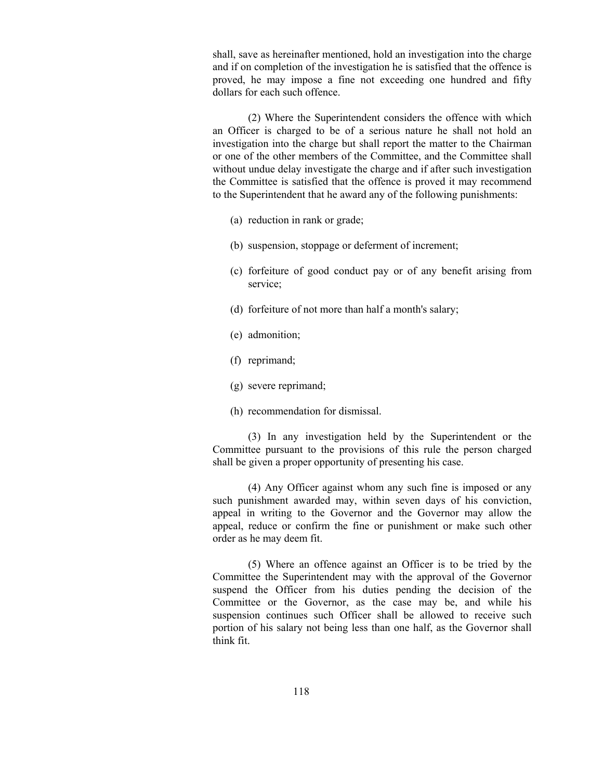shall, save as hereinafter mentioned, hold an investigation into the charge and if on completion of the investigation he is satisfied that the offence is proved, he may impose a fine not exceeding one hundred and fifty dollars for each such offence.

 (2) Where the Superintendent considers the offence with which an Officer is charged to be of a serious nature he shall not hold an investigation into the charge but shall report the matter to the Chairman or one of the other members of the Committee, and the Committee shall without undue delay investigate the charge and if after such investigation the Committee is satisfied that the offence is proved it may recommend to the Superintendent that he award any of the following punishments:

- (a) reduction in rank or grade;
- (b) suspension, stoppage or deferment of increment;
- (c) forfeiture of good conduct pay or of any benefit arising from service;
- (d) forfeiture of not more than half a month's salary;
- (e) admonition;
- (f) reprimand;
- (g) severe reprimand;
- (h) recommendation for dismissal.

 (3) In any investigation held by the Superintendent or the Committee pursuant to the provisions of this rule the person charged shall be given a proper opportunity of presenting his case.

 (4) Any Officer against whom any such fine is imposed or any such punishment awarded may, within seven days of his conviction, appeal in writing to the Governor and the Governor may allow the appeal, reduce or confirm the fine or punishment or make such other order as he may deem fit.

 (5) Where an offence against an Officer is to be tried by the Committee the Superintendent may with the approval of the Governor suspend the Officer from his duties pending the decision of the Committee or the Governor, as the case may be, and while his suspension continues such Officer shall be allowed to receive such portion of his salary not being less than one half, as the Governor shall think fit.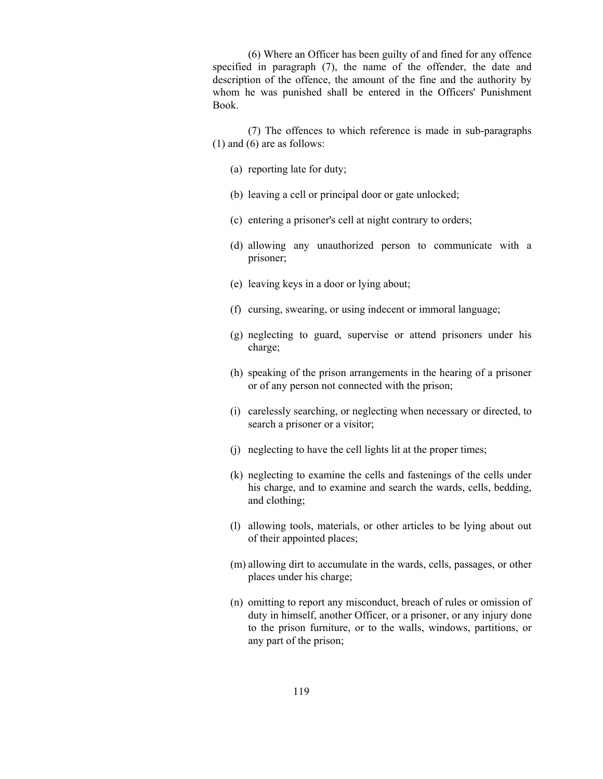(6) Where an Officer has been guilty of and fined for any offence specified in paragraph (7), the name of the offender, the date and description of the offence, the amount of the fine and the authority by whom he was punished shall be entered in the Officers' Punishment Book.

 (7) The offences to which reference is made in sub-paragraphs (1) and (6) are as follows:

- (a) reporting late for duty;
- (b) leaving a cell or principal door or gate unlocked;
- (c) entering a prisoner's cell at night contrary to orders;
- (d) allowing any unauthorized person to communicate with a prisoner;
- (e) leaving keys in a door or lying about;
- (f) cursing, swearing, or using indecent or immoral language;
- (g) neglecting to guard, supervise or attend prisoners under his charge;
- (h) speaking of the prison arrangements in the hearing of a prisoner or of any person not connected with the prison;
- (i) carelessly searching, or neglecting when necessary or directed, to search a prisoner or a visitor;
- (j) neglecting to have the cell lights lit at the proper times;
- (k) neglecting to examine the cells and fastenings of the cells under his charge, and to examine and search the wards, cells, bedding, and clothing;
- (l) allowing tools, materials, or other articles to be lying about out of their appointed places;
- (m) allowing dirt to accumulate in the wards, cells, passages, or other places under his charge;
- (n) omitting to report any misconduct, breach of rules or omission of duty in himself, another Officer, or a prisoner, or any injury done to the prison furniture, or to the walls, windows, partitions, or any part of the prison;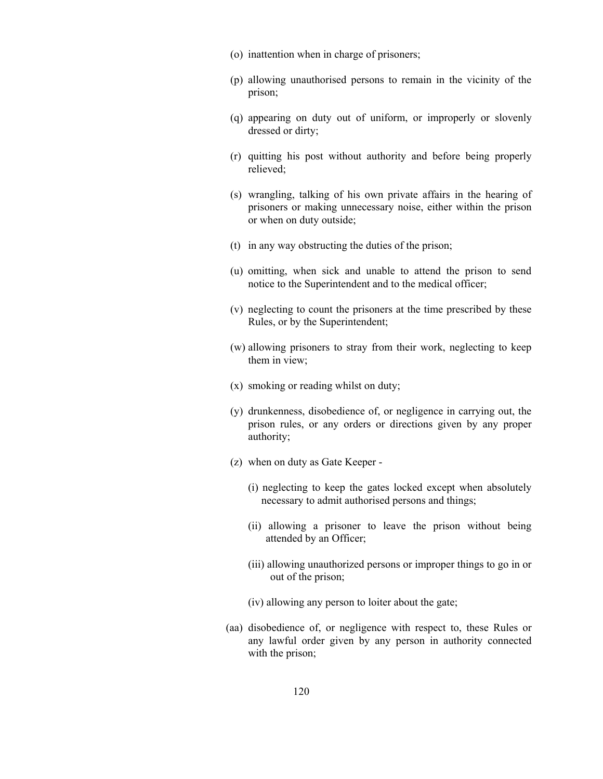- (o) inattention when in charge of prisoners;
- (p) allowing unauthorised persons to remain in the vicinity of the prison;
- (q) appearing on duty out of uniform, or improperly or slovenly dressed or dirty;
- (r) quitting his post without authority and before being properly relieved;
- (s) wrangling, talking of his own private affairs in the hearing of prisoners or making unnecessary noise, either within the prison or when on duty outside;
- (t) in any way obstructing the duties of the prison;
- (u) omitting, when sick and unable to attend the prison to send notice to the Superintendent and to the medical officer;
- (v) neglecting to count the prisoners at the time prescribed by these Rules, or by the Superintendent;
- (w) allowing prisoners to stray from their work, neglecting to keep them in view;
- (x) smoking or reading whilst on duty;
- (y) drunkenness, disobedience of, or negligence in carrying out, the prison rules, or any orders or directions given by any proper authority;
- (z) when on duty as Gate Keeper
	- (i) neglecting to keep the gates locked except when absolutely necessary to admit authorised persons and things;
	- (ii) allowing a prisoner to leave the prison without being attended by an Officer;
	- (iii) allowing unauthorized persons or improper things to go in or out of the prison;
	- (iv) allowing any person to loiter about the gate;
- (aa) disobedience of, or negligence with respect to, these Rules or any lawful order given by any person in authority connected with the prison;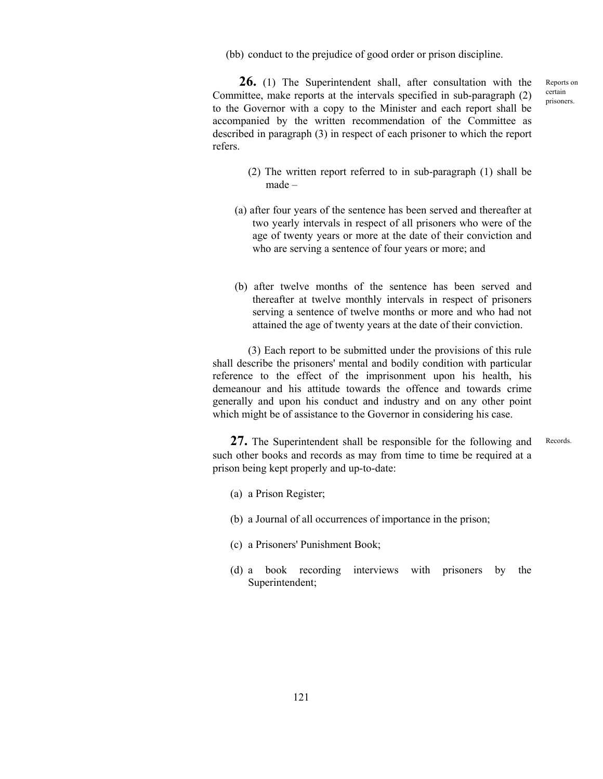(bb) conduct to the prejudice of good order or prison discipline.

 **26.** (1) The Superintendent shall, after consultation with the Committee, make reports at the intervals specified in sub-paragraph (2) to the Governor with a copy to the Minister and each report shall be accompanied by the written recommendation of the Committee as described in paragraph (3) in respect of each prisoner to which the report refers.

- (2) The written report referred to in sub-paragraph (1) shall be made –
- (a) after four years of the sentence has been served and thereafter at two yearly intervals in respect of all prisoners who were of the age of twenty years or more at the date of their conviction and who are serving a sentence of four years or more; and
- (b) after twelve months of the sentence has been served and thereafter at twelve monthly intervals in respect of prisoners serving a sentence of twelve months or more and who had not attained the age of twenty years at the date of their conviction.

 (3) Each report to be submitted under the provisions of this rule shall describe the prisoners' mental and bodily condition with particular reference to the effect of the imprisonment upon his health, his demeanour and his attitude towards the offence and towards crime generally and upon his conduct and industry and on any other point which might be of assistance to the Governor in considering his case.

 **27.** The Superintendent shall be responsible for the following and such other books and records as may from time to time be required at a prison being kept properly and up-to-date: **Records** 

- (a) a Prison Register;
- (b) a Journal of all occurrences of importance in the prison;
- (c) a Prisoners' Punishment Book;
- (d) a book recording interviews with prisoners by the Superintendent;

Reports on certain prisoners.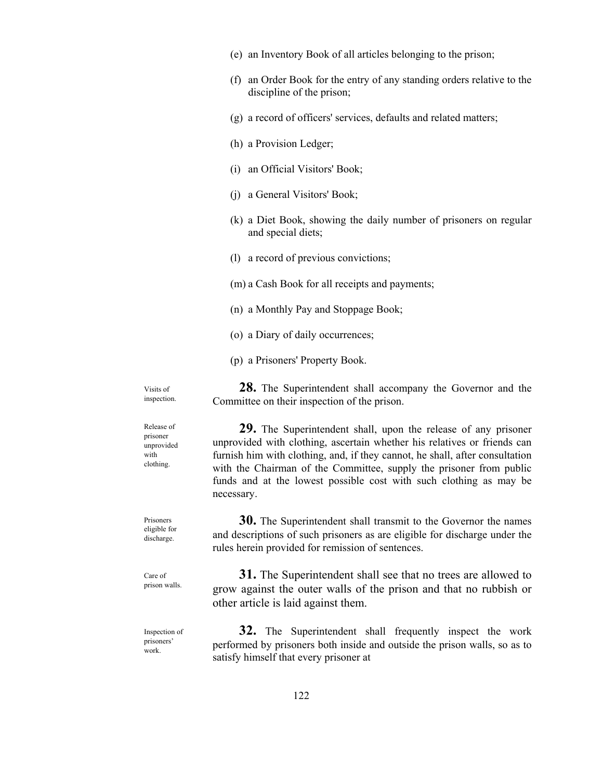- (e) an Inventory Book of all articles belonging to the prison;
- (f) an Order Book for the entry of any standing orders relative to the discipline of the prison;
- (g) a record of officers' services, defaults and related matters;
- (h) a Provision Ledger;
- (i) an Official Visitors' Book;
- (j) a General Visitors' Book;
- (k) a Diet Book, showing the daily number of prisoners on regular and special diets;
- (l) a record of previous convictions;
- (m) a Cash Book for all receipts and payments;
- (n) a Monthly Pay and Stoppage Book;
- (o) a Diary of daily occurrences;
- (p) a Prisoners' Property Book.

 **28.** The Superintendent shall accompany the Governor and the Committee on their inspection of the prison.

 **29.** The Superintendent shall, upon the release of any prisoner unprovided with clothing, ascertain whether his relatives or friends can furnish him with clothing, and, if they cannot, he shall, after consultation with the Chairman of the Committee, supply the prisoner from public funds and at the lowest possible cost with such clothing as may be necessary.

 **30.** The Superintendent shall transmit to the Governor the names and descriptions of such prisoners as are eligible for discharge under the rules herein provided for remission of sentences.

**31.** The Superintendent shall see that no trees are allowed to grow against the outer walls of the prison and that no rubbish or other article is laid against them.

 **32.** The Superintendent shall frequently inspect the work performed by prisoners both inside and outside the prison walls, so as to satisfy himself that every prisoner at Inspection of

unprovided with clothing.

Visits of inspection.

Release of prisoner

Prisoners eligible for discharge.

Care of prison walls.

work.

prisoners'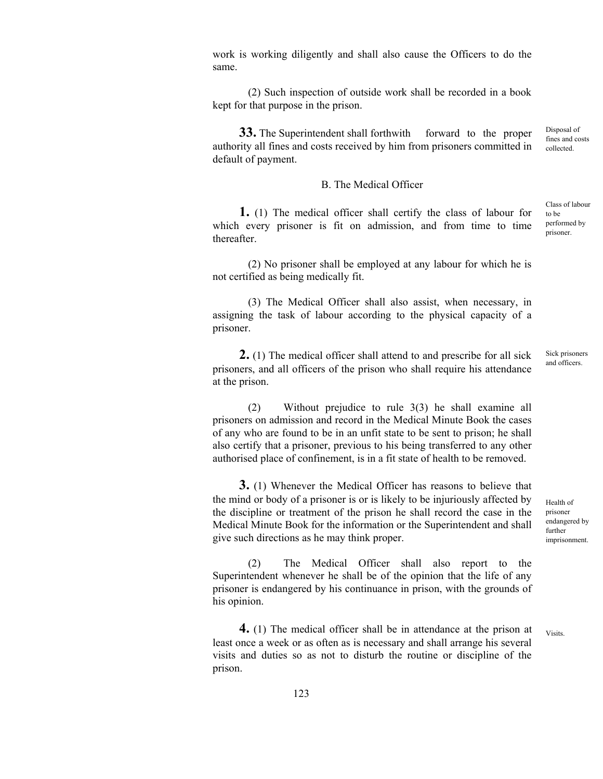work is working diligently and shall also cause the Officers to do the same.

 (2) Such inspection of outside work shall be recorded in a book kept for that purpose in the prison.

**33.** The Superintendent shall forthwith forward to the proper authority all fines and costs received by him from prisoners committed in default of payment.

## B. The Medical Officer

 **1.** (1) The medical officer shall certify the class of labour for which every prisoner is fit on admission, and from time to time thereafter.

 (2) No prisoner shall be employed at any labour for which he is not certified as being medically fit.

 (3) The Medical Officer shall also assist, when necessary, in assigning the task of labour according to the physical capacity of a prisoner.

 **2.** (1) The medical officer shall attend to and prescribe for all sick prisoners, and all officers of the prison who shall require his attendance at the prison. Sick prisoners and officers.

 (2) Without prejudice to rule 3(3) he shall examine all prisoners on admission and record in the Medical Minute Book the cases of any who are found to be in an unfit state to be sent to prison; he shall also certify that a prisoner, previous to his being transferred to any other authorised place of confinement, is in a fit state of health to be removed.

 **3.** (1) Whenever the Medical Officer has reasons to believe that the mind or body of a prisoner is or is likely to be injuriously affected by the discipline or treatment of the prison he shall record the case in the Medical Minute Book for the information or the Superintendent and shall give such directions as he may think proper.

 (2) The Medical Officer shall also report to the Superintendent whenever he shall be of the opinion that the life of any prisoner is endangered by his continuance in prison, with the grounds of his opinion.

 **4.** (1) The medical officer shall be in attendance at the prison at least once a week or as often as is necessary and shall arrange his several visits and duties so as not to disturb the routine or discipline of the prison.

Health of prisoner endangered by further

imprisonment.

**Visits**.

collected.

Class of labour to be performed by prisoner.

Disposal of fines and costs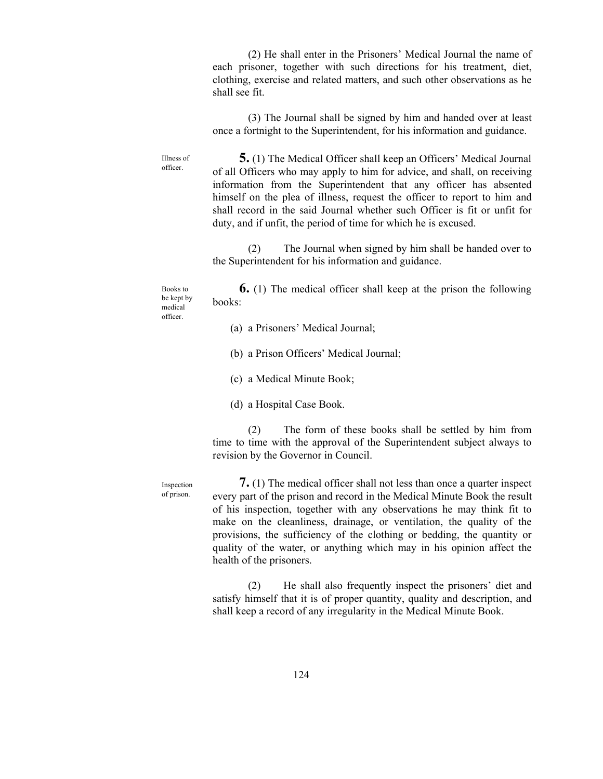(2) He shall enter in the Prisoners' Medical Journal the name of each prisoner, together with such directions for his treatment, diet, clothing, exercise and related matters, and such other observations as he shall see fit.

 (3) The Journal shall be signed by him and handed over at least once a fortnight to the Superintendent, for his information and guidance.

 **5.** (1) The Medical Officer shall keep an Officers' Medical Journal of all Officers who may apply to him for advice, and shall, on receiving information from the Superintendent that any officer has absented himself on the plea of illness, request the officer to report to him and shall record in the said Journal whether such Officer is fit or unfit for duty, and if unfit, the period of time for which he is excused.

 (2) The Journal when signed by him shall be handed over to the Superintendent for his information and guidance.

 **6.** (1) The medical officer shall keep at the prison the following books:

(a) a Prisoners' Medical Journal;

- (b) a Prison Officers' Medical Journal;
- (c) a Medical Minute Book;

(d) a Hospital Case Book.

 (2) The form of these books shall be settled by him from time to time with the approval of the Superintendent subject always to revision by the Governor in Council.

Inspection of prison.

Illness of officer.

Books to be kept by medical officer.

> **7.** (1) The medical officer shall not less than once a quarter inspect every part of the prison and record in the Medical Minute Book the result of his inspection, together with any observations he may think fit to make on the cleanliness, drainage, or ventilation, the quality of the provisions, the sufficiency of the clothing or bedding, the quantity or quality of the water, or anything which may in his opinion affect the health of the prisoners.

> (2) He shall also frequently inspect the prisoners' diet and satisfy himself that it is of proper quantity, quality and description, and shall keep a record of any irregularity in the Medical Minute Book.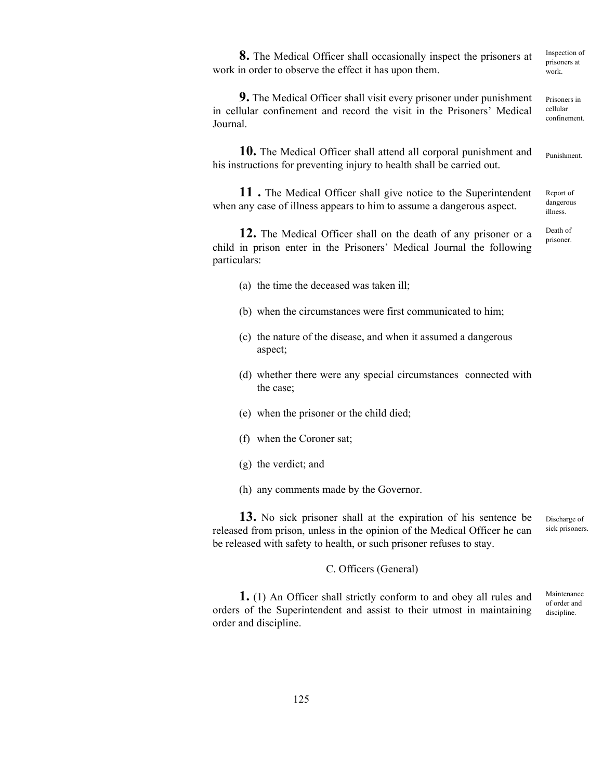**8.** The Medical Officer shall occasionally inspect the prisoners at work in order to observe the effect it has upon them.

 **9.** The Medical Officer shall visit every prisoner under punishment in cellular confinement and record the visit in the Prisoners' Medical Journal. Prisoners in

 **10.** The Medical Officer shall attend all corporal punishment and his instructions for preventing injury to health shall be carried out.

 **11 .** The Medical Officer shall give notice to the Superintendent when any case of illness appears to him to assume a dangerous aspect.

 **12.** The Medical Officer shall on the death of any prisoner or a child in prison enter in the Prisoners' Medical Journal the following particulars:

(a) the time the deceased was taken ill;

- (b) when the circumstances were first communicated to him;
- (c) the nature of the disease, and when it assumed a dangerous aspect;
- (d) whether there were any special circumstances connected with the case;
- (e) when the prisoner or the child died;
- (f) when the Coroner sat;
- (g) the verdict; and
- (h) any comments made by the Governor.

 **13.** No sick prisoner shall at the expiration of his sentence be released from prison, unless in the opinion of the Medical Officer he can be released with safety to health, or such prisoner refuses to stay. Discharge of sick prisoners.

C. Officers (General)

 **1.** (1) An Officer shall strictly conform to and obey all rules and orders of the Superintendent and assist to their utmost in maintaining order and discipline. Maintenance of order and discipline.

125

Inspection of prisoners at work.

cellular confinement.

Punishment.

Report of dangerous illness.

Death of prisoner.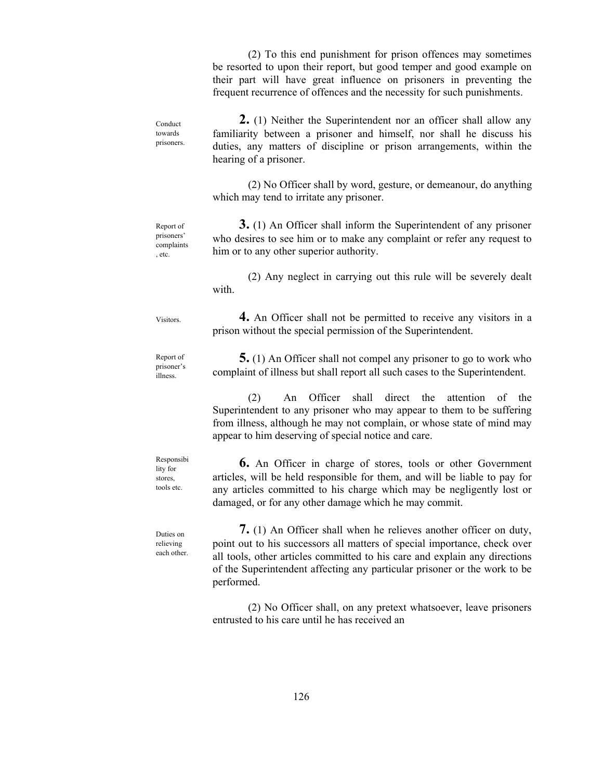(2) To this end punishment for prison offences may sometimes be resorted to upon their report, but good temper and good example on their part will have great influence on prisoners in preventing the frequent recurrence of offences and the necessity for such punishments. **2.** (1) Neither the Superintendent nor an officer shall allow any familiarity between a prisoner and himself, nor shall he discuss his duties, any matters of discipline or prison arrangements, within the hearing of a prisoner. (2) No Officer shall by word, gesture, or demeanour, do anything which may tend to irritate any prisoner. **3.** (1) An Officer shall inform the Superintendent of any prisoner who desires to see him or to make any complaint or refer any request to him or to any other superior authority. (2) Any neglect in carrying out this rule will be severely dealt with. **4.** An Officer shall not be permitted to receive any visitors in a prison without the special permission of the Superintendent. **5.** (1) An Officer shall not compel any prisoner to go to work who complaint of illness but shall report all such cases to the Superintendent. (2) An Officer shall direct the attention of the Superintendent to any prisoner who may appear to them to be suffering from illness, although he may not complain, or whose state of mind may appear to him deserving of special notice and care. **6.** An Officer in charge of stores, tools or other Government articles, will be held responsible for them, and will be liable to pay for any articles committed to his charge which may be negligently lost or damaged, or for any other damage which he may commit. **7.** (1) An Officer shall when he relieves another officer on duty, point out to his successors all matters of special importance, check over all tools, other articles committed to his care and explain any directions of the Superintendent affecting any particular prisoner or the work to be Conduct towards prisoners. Report of prisoners' complaints , etc. Visitors. Report of prisoner's illness. Responsibi lity for stores, tools etc. Duties on relieving each other.

> (2) No Officer shall, on any pretext whatsoever, leave prisoners entrusted to his care until he has received an

performed.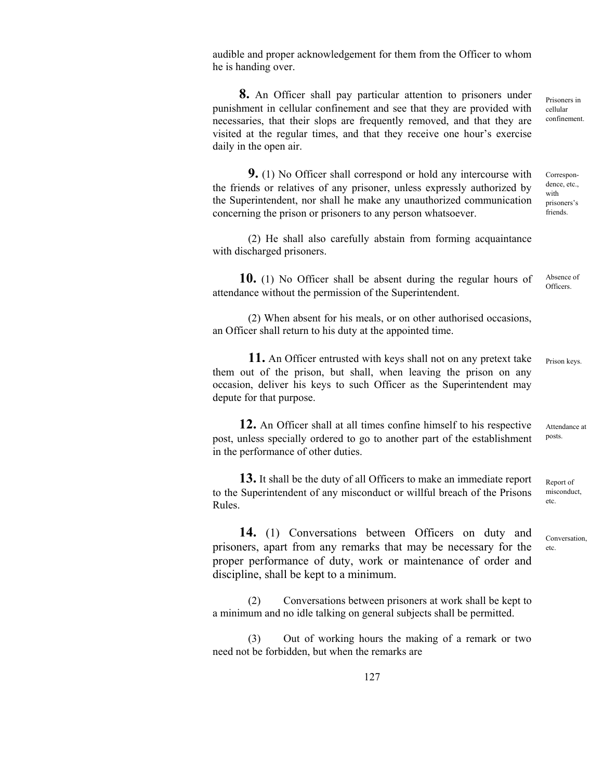audible and proper acknowledgement for them from the Officer to whom he is handing over.

 **8.** An Officer shall pay particular attention to prisoners under punishment in cellular confinement and see that they are provided with necessaries, that their slops are frequently removed, and that they are visited at the regular times, and that they receive one hour's exercise daily in the open air.

 **9.** (1) No Officer shall correspond or hold any intercourse with the friends or relatives of any prisoner, unless expressly authorized by the Superintendent, nor shall he make any unauthorized communication concerning the prison or prisoners to any person whatsoever. Correspondence, etc., prisoners's friends.

 (2) He shall also carefully abstain from forming acquaintance with discharged prisoners.

 **10.** (1) No Officer shall be absent during the regular hours of attendance without the permission of the Superintendent. Absence of Officers.

 (2) When absent for his meals, or on other authorised occasions, an Officer shall return to his duty at the appointed time.

 **11.** An Officer entrusted with keys shall not on any pretext take them out of the prison, but shall, when leaving the prison on any occasion, deliver his keys to such Officer as the Superintendent may depute for that purpose. Prison keys.

 **12.** An Officer shall at all times confine himself to his respective post, unless specially ordered to go to another part of the establishment in the performance of other duties. Attendance at posts.

**13.** It shall be the duty of all Officers to make an immediate report to the Superintendent of any misconduct or willful breach of the Prisons Rules.

**14.** (1) Conversations between Officers on duty and prisoners, apart from any remarks that may be necessary for the proper performance of duty, work or maintenance of order and discipline, shall be kept to a minimum.

 (2) Conversations between prisoners at work shall be kept to a minimum and no idle talking on general subjects shall be permitted.

 (3) Out of working hours the making of a remark or two need not be forbidden, but when the remarks are

127

Conversation,

Report of misconduct, etc.

etc.

cellular confinement.

with

Prisoners in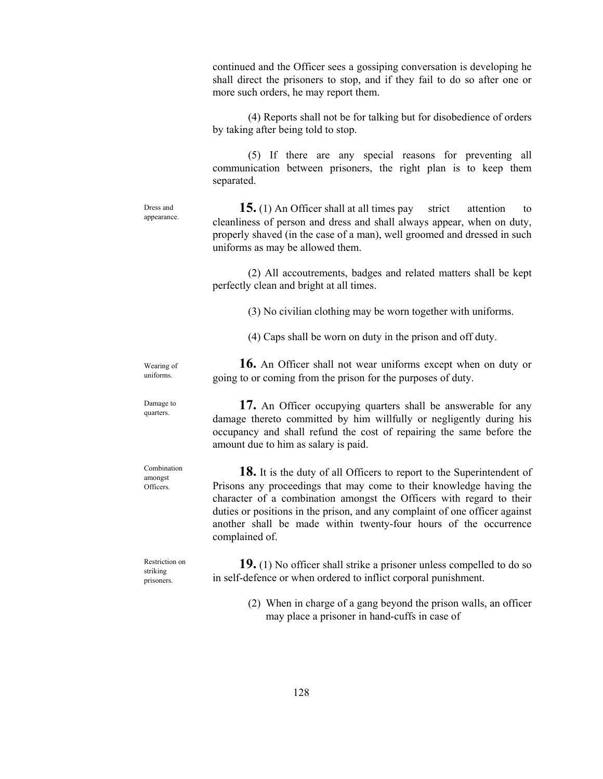continued and the Officer sees a gossiping conversation is developing he shall direct the prisoners to stop, and if they fail to do so after one or more such orders, he may report them. (4) Reports shall not be for talking but for disobedience of orders by taking after being told to stop. (5) If there are any special reasons for preventing all communication between prisoners, the right plan is to keep them separated. **15.** (1) An Officer shall at all times pay strict attention to cleanliness of person and dress and shall always appear, when on duty, properly shaved (in the case of a man), well groomed and dressed in such uniforms as may be allowed them. (2) All accoutrements, badges and related matters shall be kept perfectly clean and bright at all times. (3) No civilian clothing may be worn together with uniforms. (4) Caps shall be worn on duty in the prison and off duty. **16.** An Officer shall not wear uniforms except when on duty or going to or coming from the prison for the purposes of duty. **17.** An Officer occupying quarters shall be answerable for any damage thereto committed by him willfully or negligently during his occupancy and shall refund the cost of repairing the same before the amount due to him as salary is paid. **18.** It is the duty of all Officers to report to the Superintendent of Prisons any proceedings that may come to their knowledge having the character of a combination amongst the Officers with regard to their duties or positions in the prison, and any complaint of one officer against another shall be made within twenty-four hours of the occurrence complained of. **19.** (1) No officer shall strike a prisoner unless compelled to do so in self-defence or when ordered to inflict corporal punishment. Dress and appearance. Wearing of uniforms. Damage to quarters. Combination amongst Officers. Restriction on striking prisoners.

> (2) When in charge of a gang beyond the prison walls, an officer may place a prisoner in hand-cuffs in case of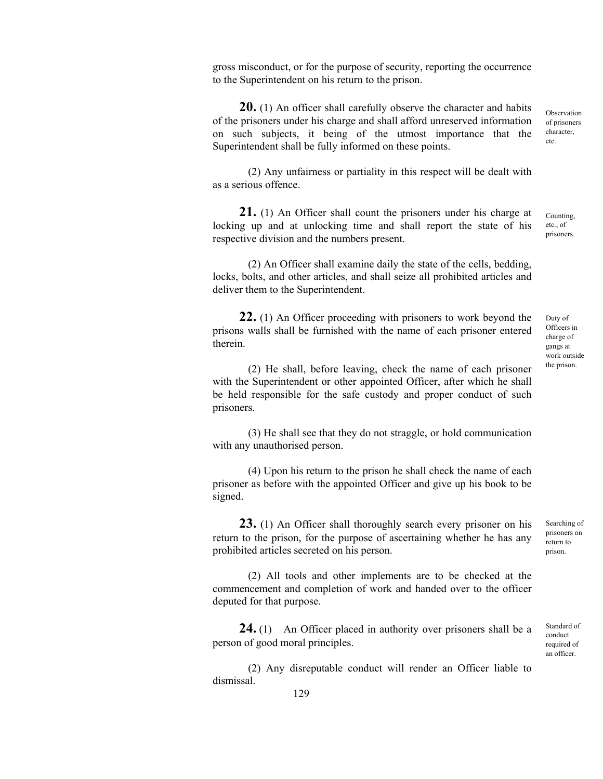gross misconduct, or for the purpose of security, reporting the occurrence to the Superintendent on his return to the prison.

**20.** (1) An officer shall carefully observe the character and habits of the prisoners under his charge and shall afford unreserved information on such subjects, it being of the utmost importance that the Superintendent shall be fully informed on these points.

 (2) Any unfairness or partiality in this respect will be dealt with as a serious offence.

**21.** (1) An Officer shall count the prisoners under his charge at locking up and at unlocking time and shall report the state of his respective division and the numbers present. Counting, etc., of prisoners.

 (2) An Officer shall examine daily the state of the cells, bedding, locks, bolts, and other articles, and shall seize all prohibited articles and deliver them to the Superintendent.

**22.** (1) An Officer proceeding with prisoners to work beyond the prisons walls shall be furnished with the name of each prisoner entered therein.

 (2) He shall, before leaving, check the name of each prisoner with the Superintendent or other appointed Officer, after which he shall be held responsible for the safe custody and proper conduct of such prisoners.

 (3) He shall see that they do not straggle, or hold communication with any unauthorised person.

 (4) Upon his return to the prison he shall check the name of each prisoner as before with the appointed Officer and give up his book to be signed.

**23.** (1) An Officer shall thoroughly search every prisoner on his return to the prison, for the purpose of ascertaining whether he has any prohibited articles secreted on his person.

 (2) All tools and other implements are to be checked at the commencement and completion of work and handed over to the officer deputed for that purpose.

**24.** (1) An Officer placed in authority over prisoners shall be a person of good moral principles.

 (2) Any disreputable conduct will render an Officer liable to dismissal.

Duty of Officers in charge of gangs at work outside the prison.

Observation of prisoners character, etc.

Searching of prisoners on return to prison.

Standard of conduct required of an officer.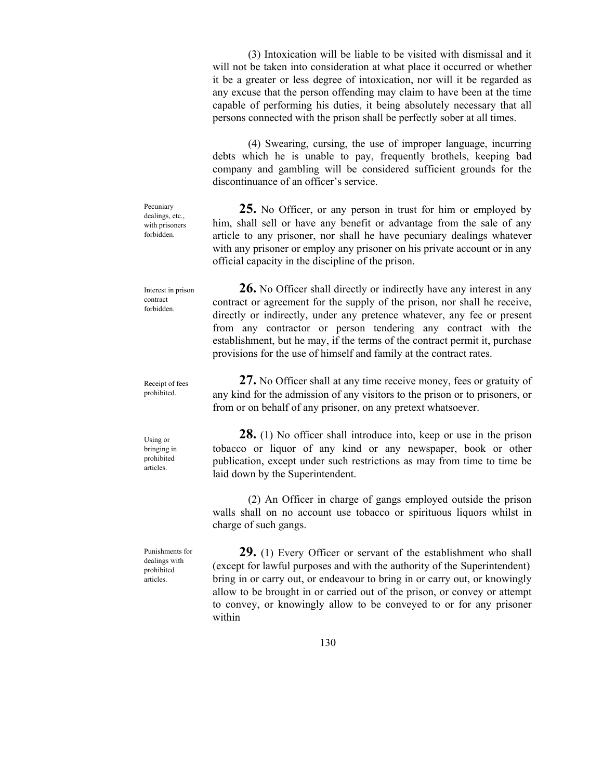(3) Intoxication will be liable to be visited with dismissal and it will not be taken into consideration at what place it occurred or whether it be a greater or less degree of intoxication, nor will it be regarded as any excuse that the person offending may claim to have been at the time capable of performing his duties, it being absolutely necessary that all persons connected with the prison shall be perfectly sober at all times.

 (4) Swearing, cursing, the use of improper language, incurring debts which he is unable to pay, frequently brothels, keeping bad company and gambling will be considered sufficient grounds for the discontinuance of an officer's service.

**25.** No Officer, or any person in trust for him or employed by him, shall sell or have any benefit or advantage from the sale of any article to any prisoner, nor shall he have pecuniary dealings whatever with any prisoner or employ any prisoner on his private account or in any official capacity in the discipline of the prison.

 **26.** No Officer shall directly or indirectly have any interest in any contract or agreement for the supply of the prison, nor shall he receive, directly or indirectly, under any pretence whatever, any fee or present from any contractor or person tendering any contract with the establishment, but he may, if the terms of the contract permit it, purchase provisions for the use of himself and family at the contract rates.

**27.** No Officer shall at any time receive money, fees or gratuity of any kind for the admission of any visitors to the prison or to prisoners, or from or on behalf of any prisoner, on any pretext whatsoever.

**28.** (1) No officer shall introduce into, keep or use in the prison tobacco or liquor of any kind or any newspaper, book or other publication, except under such restrictions as may from time to time be laid down by the Superintendent.

 (2) An Officer in charge of gangs employed outside the prison walls shall on no account use tobacco or spirituous liquors whilst in charge of such gangs.

**29.** (1) Every Officer or servant of the establishment who shall (except for lawful purposes and with the authority of the Superintendent) bring in or carry out, or endeavour to bring in or carry out, or knowingly allow to be brought in or carried out of the prison, or convey or attempt to convey, or knowingly allow to be conveyed to or for any prisoner within

Pecuniary dealings, etc., with prisoners forbidden.

Interest in prison contract forbidden.

Using or bringing in prohibited

articles.

Punishments for dealings with prohibited articles.

Receipt of fees prohibited.

130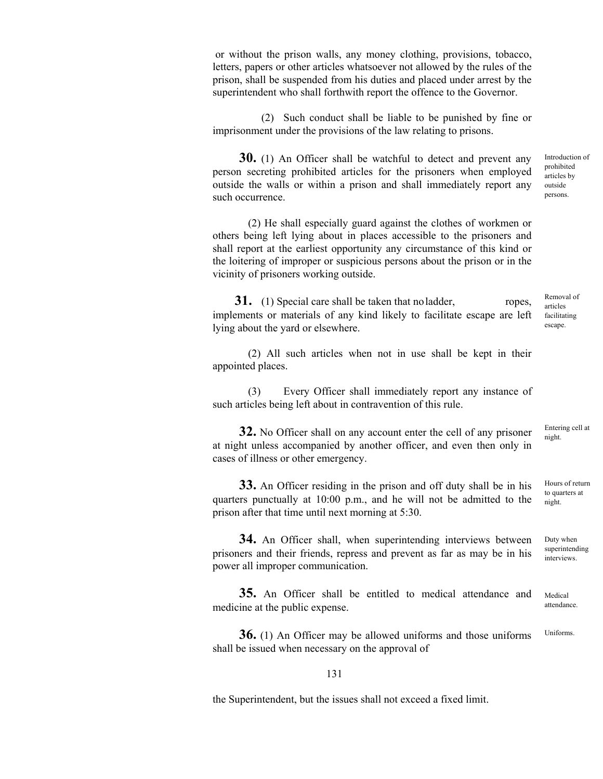or without the prison walls, any money clothing, provisions, tobacco, letters, papers or other articles whatsoever not allowed by the rules of the prison, shall be suspended from his duties and placed under arrest by the superintendent who shall forthwith report the offence to the Governor.

(2) Such conduct shall be liable to be punished by fine or imprisonment under the provisions of the law relating to prisons.

**30.** (1) An Officer shall be watchful to detect and prevent any person secreting prohibited articles for the prisoners when employed outside the walls or within a prison and shall immediately report any such occurrence.

 (2) He shall especially guard against the clothes of workmen or others being left lying about in places accessible to the prisoners and shall report at the earliest opportunity any circumstance of this kind or the loitering of improper or suspicious persons about the prison or in the vicinity of prisoners working outside.

**31.** (1) Special care shall be taken that no ladder, ropes, implements or materials of any kind likely to facilitate escape are left lying about the yard or elsewhere.

(2) All such articles when not in use shall be kept in their appointed places.

 (3) Every Officer shall immediately report any instance of such articles being left about in contravention of this rule.

**32.** No Officer shall on any account enter the cell of any prisoner at night unless accompanied by another officer, and even then only in cases of illness or other emergency.

**33.** An Officer residing in the prison and off duty shall be in his quarters punctually at 10:00 p.m., and he will not be admitted to the prison after that time until next morning at 5:30.

**34.** An Officer shall, when superintending interviews between prisoners and their friends, repress and prevent as far as may be in his power all improper communication.

**35.** An Officer shall be entitled to medical attendance and medicine at the public expense.

**36.** (1) An Officer may be allowed uniforms and those uniforms shall be issued when necessary on the approval of Uniforms.

131

the Superintendent, but the issues shall not exceed a fixed limit.

Introduction of prohibited articles by outside persons.

Removal of articles facilitating escape.

Entering cell at night.

Hours of return to quarters at night.

Duty when superintending interviews.

Medical attendance.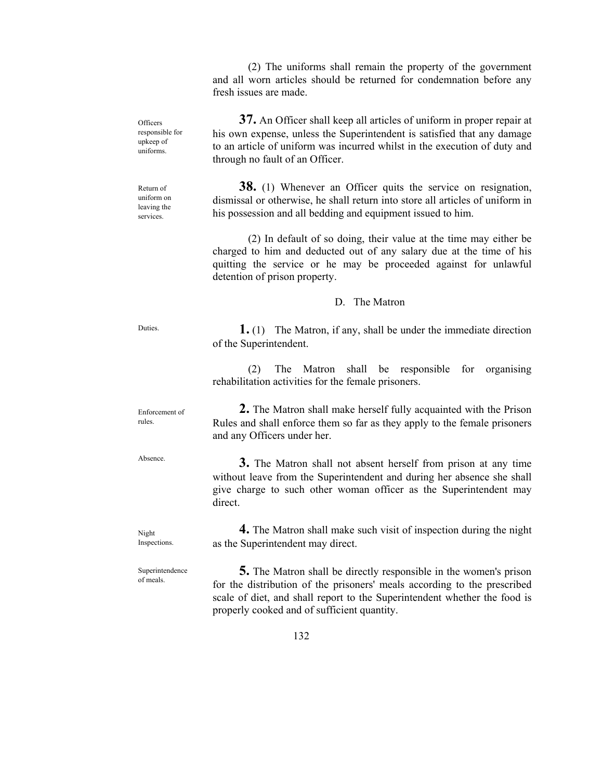(2) The uniforms shall remain the property of the government and all worn articles should be returned for condemnation before any fresh issues are made.

**37.** An Officer shall keep all articles of uniform in proper repair at his own expense, unless the Superintendent is satisfied that any damage to an article of uniform was incurred whilst in the execution of duty and through no fault of an Officer.

**38.** (1) Whenever an Officer quits the service on resignation, dismissal or otherwise, he shall return into store all articles of uniform in his possession and all bedding and equipment issued to him.

 (2) In default of so doing, their value at the time may either be charged to him and deducted out of any salary due at the time of his quitting the service or he may be proceeded against for unlawful detention of prison property.

### D. The Matron

 **1.** (1) The Matron, if any, shall be under the immediate direction of the Superintendent.

 (2) The Matron shall be responsible for organising rehabilitation activities for the female prisoners.

 **2.** The Matron shall make herself fully acquainted with the Prison Rules and shall enforce them so far as they apply to the female prisoners and any Officers under her.

 **3.** The Matron shall not absent herself from prison at any time without leave from the Superintendent and during her absence she shall give charge to such other woman officer as the Superintendent may direct.

**4.** The Matron shall make such visit of inspection during the night as the Superintendent may direct.

 **5.** The Matron shall be directly responsible in the women's prison for the distribution of the prisoners' meals according to the prescribed scale of diet, and shall report to the Superintendent whether the food is properly cooked and of sufficient quantity. Superintendence

**Officers** responsible for upkeep of uniforms.

Return of uniform on leaving the services.

Duties.

Enforcement of rules.

Absence.

Night Inspections.

of meals.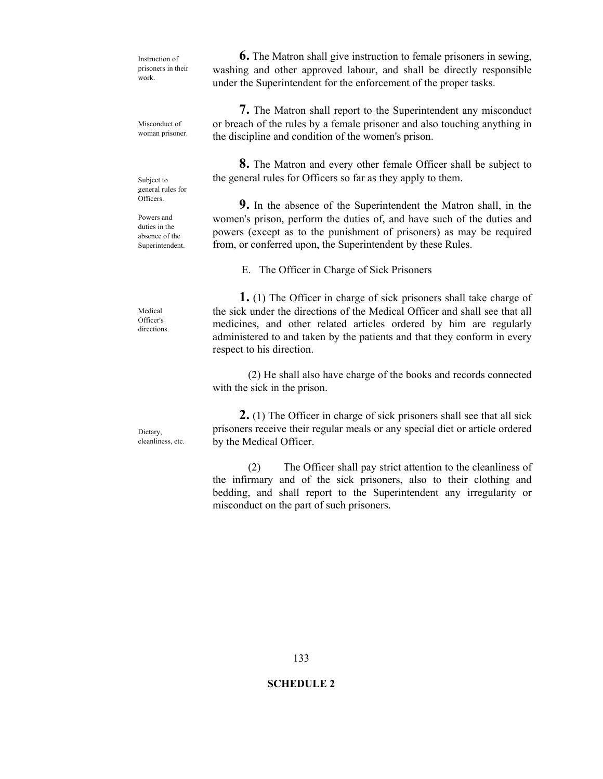Instruction of prisoners in their work.

Misconduct of woman prisoner.

Subject to general rules for **Officers** 

Powers and duties in the absence of the Superintendent.

Medical Officer's directions.

**Dietary** cleanliness, etc.

 **6.** The Matron shall give instruction to female prisoners in sewing, washing and other approved labour, and shall be directly responsible under the Superintendent for the enforcement of the proper tasks.

 **7.** The Matron shall report to the Superintendent any misconduct or breach of the rules by a female prisoner and also touching anything in the discipline and condition of the women's prison.

 **8.** The Matron and every other female Officer shall be subject to the general rules for Officers so far as they apply to them.

 **9.** In the absence of the Superintendent the Matron shall, in the women's prison, perform the duties of, and have such of the duties and powers (except as to the punishment of prisoners) as may be required from, or conferred upon, the Superintendent by these Rules.

E. The Officer in Charge of Sick Prisoners

 **1.** (1) The Officer in charge of sick prisoners shall take charge of the sick under the directions of the Medical Officer and shall see that all medicines, and other related articles ordered by him are regularly administered to and taken by the patients and that they conform in every respect to his direction.

 (2) He shall also have charge of the books and records connected with the sick in the prison.

 **2.** (1) The Officer in charge of sick prisoners shall see that all sick prisoners receive their regular meals or any special diet or article ordered by the Medical Officer.

 (2) The Officer shall pay strict attention to the cleanliness of the infirmary and of the sick prisoners, also to their clothing and bedding, and shall report to the Superintendent any irregularity or misconduct on the part of such prisoners.

# **SCHEDULE 2**